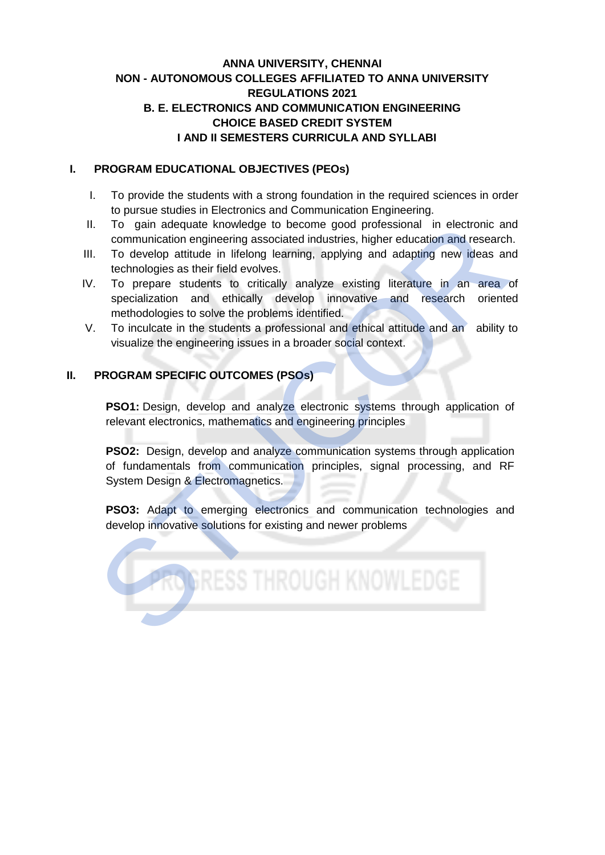# **ANNA UNIVERSITY, CHENNAI NON - AUTONOMOUS COLLEGES AFFILIATED TO ANNA UNIVERSITY REGULATIONS 2021 B. E. ELECTRONICS AND COMMUNICATION ENGINEERING CHOICE BASED CREDIT SYSTEM I AND II SEMESTERS CURRICULA AND SYLLABI**

#### **I. PROGRAM EDUCATIONAL OBJECTIVES (PEOs)**

- I. To provide the students with a strong foundation in the required sciences in order to pursue studies in Electronics and Communication Engineering.
- II. To gain adequate knowledge to become good professional in electronic and communication engineering associated industries, higher education and research.
- III. To develop attitude in lifelong learning, applying and adapting new ideas and technologies as their field evolves.
- IV. To prepare students to critically analyze existing literature in an area of specialization and ethically develop innovative and research oriented methodologies to solve the problems identified. To gain adequate knowledge to become good professional in electronic are communication engineering associated industries, higher education and research confidence and the develop innovative and research orienter specializa
- V. To inculcate in the students a professional and ethical attitude and an ability to visualize the engineering issues in a broader social context.

### **II. PROGRAM SPECIFIC OUTCOMES (PSOs)**

**PSO1:** Design, develop and analyze electronic systems through application of relevant electronics, mathematics and engineering principles

**PSO2:** Design, develop and analyze communication systems through application of fundamentals from communication principles, signal processing, and RF System Design & Electromagnetics.

**PSO3:** Adapt to emerging electronics and communication technologies and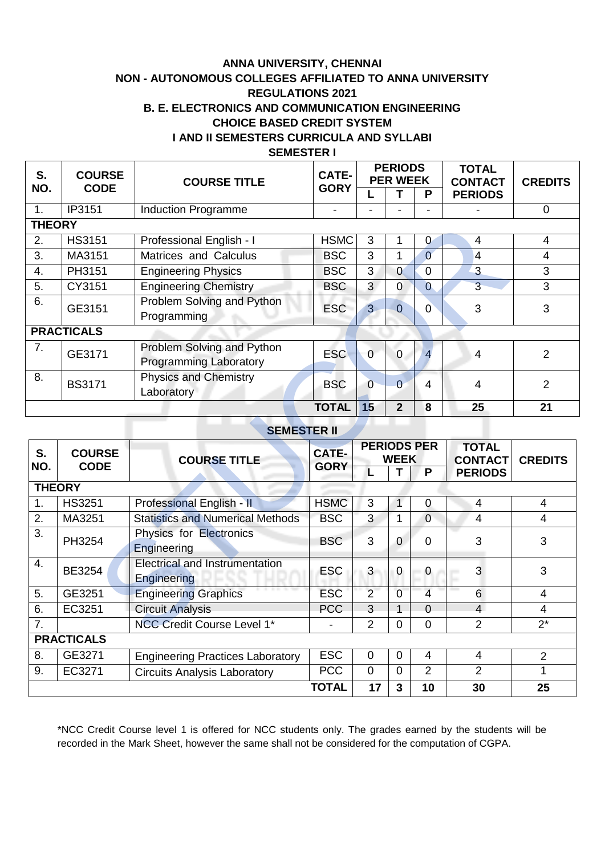# **ANNA UNIVERSITY, CHENNAI NON - AUTONOMOUS COLLEGES AFFILIATED TO ANNA UNIVERSITY REGULATIONS 2021 B. E. ELECTRONICS AND COMMUNICATION ENGINEERING CHOICE BASED CREDIT SYSTEM I AND II SEMESTERS CURRICULA AND SYLLABI SEMESTER I**

| S.<br>NO.        | <b>COURSE</b><br><b>CODE</b> | <b>COURSE TITLE</b>           | <b>CATE-</b><br><b>GORY</b> |                | <b>PERIODS</b><br><b>PER WEEK</b> |                | <b>TOTAL</b><br><b>CONTACT</b> | <b>CREDITS</b> |   |   |
|------------------|------------------------------|-------------------------------|-----------------------------|----------------|-----------------------------------|----------------|--------------------------------|----------------|---|---|
|                  |                              |                               |                             |                |                                   | P              | <b>PERIODS</b>                 |                |   |   |
| 1.               | IP3151                       | <b>Induction Programme</b>    |                             |                |                                   |                |                                | 0              |   |   |
| <b>THEORY</b>    |                              |                               |                             |                |                                   |                |                                |                |   |   |
| 2.               | <b>HS3151</b>                | Professional English - I      | <b>HSMC</b>                 | 3              |                                   | 0              | 4                              | 4              |   |   |
| 3.               | MA3151                       | Matrices and Calculus         | <b>BSC</b>                  | 3              |                                   | $\overline{0}$ | 4                              | 4              |   |   |
| $\overline{4}$ . | PH3151                       | <b>Engineering Physics</b>    | <b>BSC</b>                  | 3              | 0                                 | 0              | 3                              | 3              |   |   |
| 5.               | CY3151                       | <b>Engineering Chemistry</b>  | <b>BSC</b>                  | 3              | $\overline{0}$                    | $\overline{0}$ | $\overline{3}$                 | 3              |   |   |
| 6.               | GE3151                       | Problem Solving and Python    | <b>ESC</b>                  | $\overline{3}$ | $\overline{0}$                    | $\overline{0}$ | 3                              | 3              |   |   |
|                  |                              | Programming                   |                             |                |                                   |                |                                |                |   |   |
|                  | <b>PRACTICALS</b>            |                               |                             |                |                                   |                |                                |                |   |   |
| 7.               | GE3171                       | Problem Solving and Python    |                             |                | <b>ESC</b>                        | $\overline{0}$ | $\mathbf 0$                    | $\overline{4}$ | 4 | 2 |
|                  |                              | <b>Programming Laboratory</b> |                             |                |                                   |                |                                |                |   |   |
| 8.               | <b>BS3171</b>                | <b>Physics and Chemistry</b>  | <b>BSC</b>                  | $\mathbf 0$    | $\overline{0}$                    | 4              | 4                              | $\overline{2}$ |   |   |
|                  |                              | Laboratory                    |                             |                |                                   |                |                                |                |   |   |
|                  |                              |                               | <b>TOTAL</b>                | 15             | $\mathbf{2}$                      | 8              | 25                             | 21             |   |   |

# **SEMESTER II**

| <b>THEORY</b>    |                   |                                                             |                |                    |                |                |                |                |
|------------------|-------------------|-------------------------------------------------------------|----------------|--------------------|----------------|----------------|----------------|----------------|
| 2.               | <b>HS3151</b>     | Professional English - I                                    | <b>HSMC</b>    | 3                  | 1              | $\theta$       | $\overline{4}$ | 4              |
| $\overline{3}$ . | MA3151            | Matrices and Calculus                                       | <b>BSC</b>     | 3                  | $\mathbf 1$    | $\overline{0}$ | $\overline{4}$ | $\overline{4}$ |
| 4.               | PH3151            | <b>Engineering Physics</b>                                  | <b>BSC</b>     | 3                  | $\overline{0}$ | $\mathbf 0$    | $\overline{3}$ | $\overline{3}$ |
| $\overline{5}$ . | CY3151            | <b>Engineering Chemistry</b>                                | <b>BSC</b>     | $\overline{3}$     | $\overline{0}$ | $\overline{0}$ | $\overline{3}$ | $\overline{3}$ |
| 6.               | GE3151            | Problem Solving and Python<br>Programming                   | <b>ESC</b>     | $\overline{3}$     | $\overline{0}$ | $\mathbf 0$    | 3              | 3              |
|                  | <b>PRACTICALS</b> |                                                             |                |                    |                |                |                |                |
| 7.               | GE3171            | Problem Solving and Python<br><b>Programming Laboratory</b> | <b>ESC</b>     | $\overline{0}$     | $\mathbf 0$    | $\overline{4}$ | $\overline{4}$ | $\overline{2}$ |
| 8.               | <b>BS3171</b>     | Physics and Chemistry<br>Laboratory                         | <b>BSC</b>     | $\overline{0}$     | $\overline{0}$ | $\overline{4}$ | $\overline{4}$ | $\overline{2}$ |
|                  |                   |                                                             | <b>TOTAL</b>   | 15                 | $\overline{2}$ | 8              | 25             | 21             |
|                  |                   | <b>SEMESTER II</b>                                          |                |                    |                |                |                |                |
|                  |                   |                                                             |                | <b>PERIODS PER</b> |                |                | <b>TOTAL</b>   |                |
| S.               | <b>COURSE</b>     | <b>COURSE TITLE</b>                                         | CATE-          |                    | <b>WEEK</b>    |                | <b>CONTACT</b> | <b>CREDITS</b> |
| NO.              | <b>CODE</b>       |                                                             | <b>GORY</b>    | L                  | T              | P              | <b>PERIODS</b> |                |
|                  | <b>THEORY</b>     |                                                             |                |                    |                |                |                |                |
| 1.               | <b>HS3251</b>     | Professional English - II                                   | <b>HSMC</b>    | 3                  | $\mathbf{1}$   | $\overline{0}$ | 4              | 4              |
| $\overline{2}$ . | MA3251            | <b>Statistics and Numerical Methods</b>                     | <b>BSC</b>     | 3                  | $\overline{1}$ | $\overline{0}$ | $\overline{4}$ | 4              |
| 3.               | PH3254            | Physics for Electronics<br>Engineering                      | <b>BSC</b>     | 3                  | $\overline{0}$ | $\overline{0}$ | 3              | 3              |
| 4.               | BE3254            | <b>Electrical and Instrumentation</b><br>Engineering        | <b>ESC</b>     | 3                  | $\overline{0}$ | $\theta$       | 3              | 3              |
| 5.               | GE3251            | <b>Engineering Graphics</b>                                 | <b>ESC</b>     | $\overline{2}$     | $\overline{0}$ | $\overline{4}$ | $6\phantom{a}$ | $\overline{4}$ |
| 6.               | EC3251            | <b>Circuit Analysis</b>                                     | <b>PCC</b>     | 3                  | $\overline{1}$ | $\overline{0}$ | $\overline{4}$ | $\overline{4}$ |
| 7.               |                   | <b>NCC Credit Course Level 1*</b>                           | $\blacksquare$ | $\overline{2}$     | $\overline{0}$ | $\overline{0}$ | $\overline{2}$ | $2^*$          |
|                  | <b>PRACTICALS</b> |                                                             |                |                    |                |                |                |                |
| 8.               | GE3271            | <b>Engineering Practices Laboratory</b>                     | <b>ESC</b>     | $\mathbf 0$        | $\mathbf 0$    | $\overline{4}$ | 4              | $\overline{2}$ |
| 9.               | EC3271            | <b>Circuits Analysis Laboratory</b>                         | <b>PCC</b>     | $\overline{0}$     | $\overline{0}$ | $\overline{2}$ | $\overline{2}$ | 1              |

\*NCC Credit Course level 1 is offered for NCC students only. The grades earned by the students will be recorded in the Mark Sheet, however the same shall not be considered for the computation of CGPA.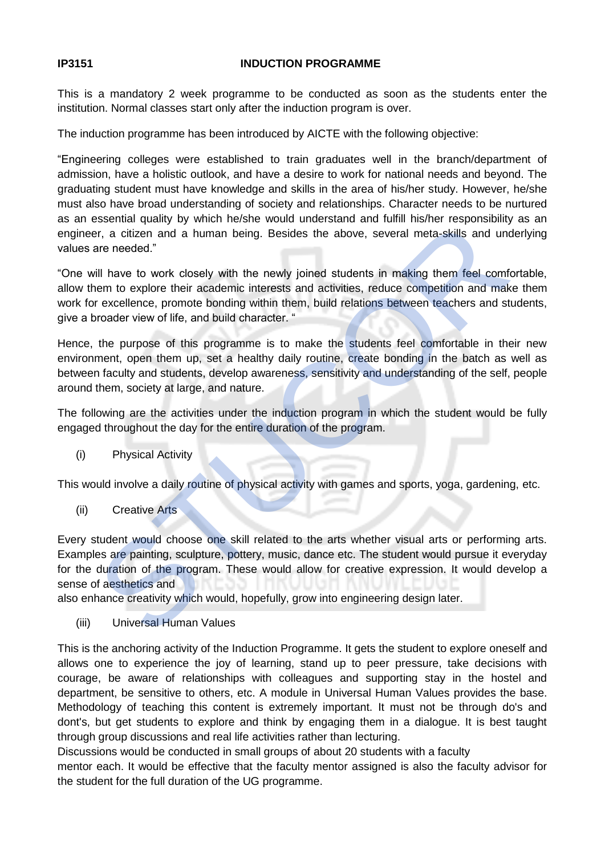#### **IP3151 INDUCTION PROGRAMME**

This is a mandatory 2 week programme to be conducted as soon as the students enter the institution. Normal classes start only after the induction program is over.

The induction programme has been introduced by AICTE with the following objective:

"Engineering colleges were established to train graduates well in the branch/department of admission, have a holistic outlook, and have a desire to work for national needs and beyond. The graduating student must have knowledge and skills in the area of his/her study. However, he/she must also have broad understanding of society and relationships. Character needs to be nurtured as an essential quality by which he/she would understand and fulfill his/her responsibility as an engineer, a citizen and a human being. Besides the above, several meta-skills and underlying values are needed."

"One will have to work closely with the newly joined students in making them feel comfortable, allow them to explore their academic interests and activities, reduce competition and make them work for excellence, promote bonding within them, build relations between teachers and students, give a broader view of life, and build character. "

Hence, the purpose of this programme is to make the students feel comfortable in their new environment, open them up, set a healthy daily routine, create bonding in the batch as well as between faculty and students, develop awareness, sensitivity and understanding of the self, people around them, society at large, and nature.

The following are the activities under the induction program in which the student would be fully engaged throughout the day for the entire duration of the program.

(i) Physical Activity

This would involve a daily routine of physical activity with games and sports, yoga, gardening, etc.

(ii) Creative Arts

Every student would choose one skill related to the arts whether visual arts or performing arts. Examples are painting, sculpture, pottery, music, dance etc. The student would pursue it everyday for the duration of the program. These would allow for creative expression. It would develop a sense of aesthetics and essential quality by which hereshe would dided to the anti lumin shirler lesponsibles.<br>
Ther, a citizen and a human being. Besides the above, several meta-skills and uncertained and a human being. Besides the above, severa

also enhance creativity which would, hopefully, grow into engineering design later.

(iii) Universal Human Values

This is the anchoring activity of the Induction Programme. It gets the student to explore oneself and allows one to experience the joy of learning, stand up to peer pressure, take decisions with courage, be aware of relationships with colleagues and supporting stay in the hostel and department, be sensitive to others, etc. A module in Universal Human Values provides the base. Methodology of teaching this content is extremely important. It must not be through do's and dont's, but get students to explore and think by engaging them in a dialogue. It is best taught through group discussions and real life activities rather than lecturing.

Discussions would be conducted in small groups of about 20 students with a faculty

mentor each. It would be effective that the faculty mentor assigned is also the faculty advisor for the student for the full duration of the UG programme.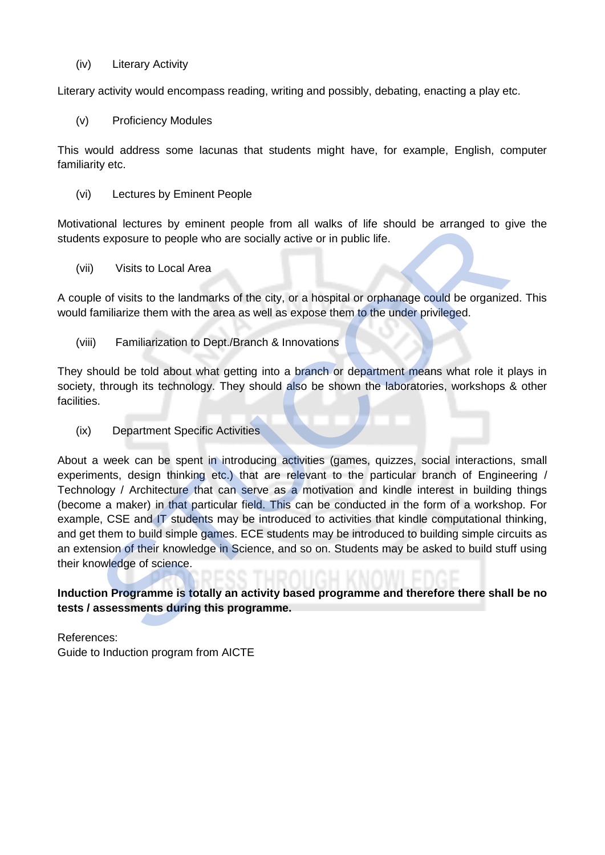(iv) Literary Activity

Literary activity would encompass reading, writing and possibly, debating, enacting a play etc.

(v) Proficiency Modules

This would address some lacunas that students might have, for example, English, computer familiarity etc.

(vi) Lectures by Eminent People

Motivational lectures by eminent people from all walks of life should be arranged to give the students exposure to people who are socially active or in public life.

(vii) Visits to Local Area

A couple of visits to the landmarks of the city, or a hospital or orphanage could be organized. This would familiarize them with the area as well as expose them to the under privileged.

(viii) Familiarization to Dept./Branch & Innovations

They should be told about what getting into a branch or department means what role it plays in society, through its technology. They should also be shown the laboratories, workshops & other facilities.

(ix) Department Specific Activities

About a week can be spent in introducing activities (games, quizzes, social interactions, small experiments, design thinking etc.) that are relevant to the particular branch of Engineering / Technology / Architecture that can serve as a motivation and kindle interest in building things (become a maker) in that particular field. This can be conducted in the form of a workshop. For example, CSE and IT students may be introduced to activities that kindle computational thinking, and get them to build simple games. ECE students may be introduced to building simple circuits as an extension of their knowledge in Science, and so on. Students may be asked to build stuff using their knowledge of science. ional lectures by eminent people from all walks of life should be arranged to g<br>ts exposure to people who are socially active or in public life.<br>
Visits to Local Area<br>
Le of visits to the landmarks of the city, or a hospit

**Induction Programme is totally an activity based programme and therefore there shall be no tests / assessments during this programme.**

References: Guide to Induction program from AICTE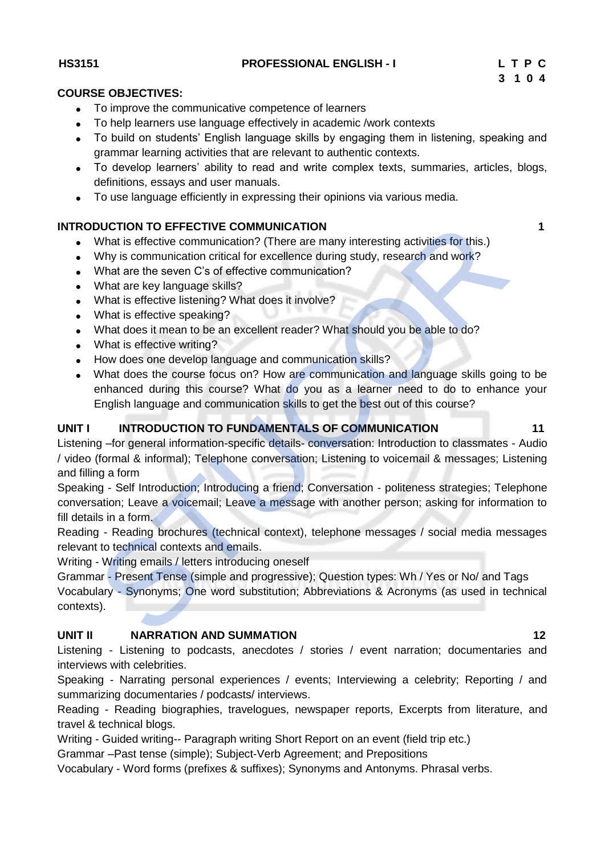#### **HS3151 PROFESSIONAL ENGLISH - I L T P C**

#### **COURSE OBJECTIVES:**

- To improve the communicative competence of learners
- To help learners use language effectively in academic /work contexts
- To build on students' English language skills by engaging them in listening, speaking and grammar learning activities that are relevant to authentic contexts.
- To develop learners' ability to read and write complex texts, summaries, articles, blogs, definitions, essays and user manuals.
- To use language efficiently in expressing their opinions via various media.

# **INTRODUCTION TO EFFECTIVE COMMUNICATION 1 1**

- What is effective communication? (There are many interesting activities for this.)
- Why is communication critical for excellence during study, research and work?
- What are the seven C's of effective communication?
- What are key language skills?
- What is effective listening? What does it involve?
- What is effective speaking?
- What does it mean to be an excellent reader? What should you be able to do?
- What is effective writing?
- How does one develop language and communication skills?
- What does the course focus on? How are communication and language skills going to be enhanced during this course? What do you as a learner need to do to enhance your English language and communication skills to get the best out of this course?

### UNIT I INTRODUCTION TO FUNDAMENTALS OF COMMUNICATION 11

Listening –for general information-specific details- conversation: Introduction to classmates - Audio / video (formal & informal); Telephone conversation; Listening to voicemail & messages; Listening and filling a form **DUCTION TO EFFECTIVE COMMUNICATION**<br>What is effective communication? (There are many interesting activities for this.)<br>Why is communication critical for excellence during study, research and work?<br>What are the seven C's o

Speaking - Self Introduction; Introducing a friend; Conversation - politeness strategies; Telephone conversation; Leave a voicemail; Leave a message with another person; asking for information to fill details in a form.

Reading - Reading brochures (technical context), telephone messages / social media messages relevant to technical contexts and emails.

Writing - Writing emails / letters introducing oneself

Grammar - Present Tense (simple and progressive); Question types: Wh / Yes or No/ and Tags

Vocabulary - Synonyms; One word substitution; Abbreviations & Acronyms (as used in technical contexts).

#### **UNIT II NARRATION AND SUMMATION 12**

Listening - Listening to podcasts, anecdotes / stories / event narration; documentaries and interviews with celebrities.

Speaking - Narrating personal experiences / events; Interviewing a celebrity; Reporting / and summarizing documentaries / podcasts/ interviews.

Reading - Reading biographies, travelogues, newspaper reports, Excerpts from literature, and travel & technical blogs.

Writing - Guided writing-- Paragraph writing Short Report on an event (field trip etc.)

Grammar –Past tense (simple); Subject-Verb Agreement; and Prepositions

Vocabulary - Word forms (prefixes & suffixes); Synonyms and Antonyms. Phrasal verbs.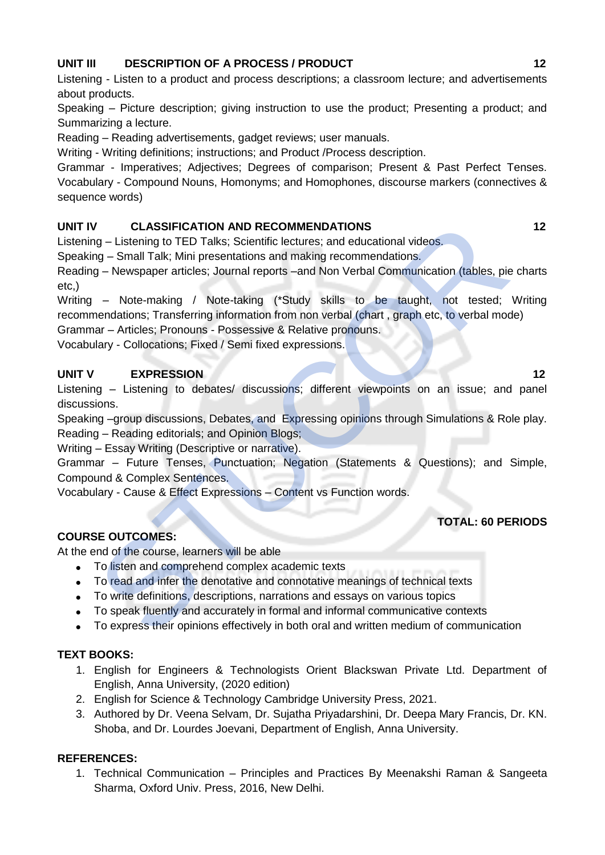# **UNIT III** DESCRIPTION OF A PROCESS / PRODUCT 12 **12**

Listening - Listen to a product and process descriptions; a classroom lecture; and advertisements about products.

Speaking – Picture description; giving instruction to use the product; Presenting a product; and Summarizing a lecture.

Reading – Reading advertisements, gadget reviews; user manuals.

Writing - Writing definitions; instructions; and Product /Process description.

Grammar - Imperatives; Adjectives; Degrees of comparison; Present & Past Perfect Tenses. Vocabulary - Compound Nouns, Homonyms; and Homophones, discourse markers (connectives & sequence words)

# **UNIT IV CLASSIFICATION AND RECOMMENDATIONS 12**

Listening – Listening to TED Talks; Scientific lectures; and educational videos.

Speaking – Small Talk; Mini presentations and making recommendations.

Reading – Newspaper articles; Journal reports –and Non Verbal Communication (tables, pie charts etc,)

Writing – Note-making / Note-taking (\*Study skills to be taught, not tested; Writing recommendations; Transferring information from non verbal (chart , graph etc, to verbal mode) valiational MD RECOMMENDATIONS<br>
or CLASSIFICATION AND RECOMMENDATIONS<br>
or C TED Talks; Scientific lectures: and educational videos.<br>
or C TeD Talks; Scientific lectures: and educations<br>
or Cheusapper articles; Journal repo

Grammar – Articles; Pronouns - Possessive & Relative pronouns.

Vocabulary - Collocations; Fixed / Semi fixed expressions.

# **UNIT V EXPRESSION 12**

Listening – Listening to debates/ discussions; different viewpoints on an issue; and panel discussions.

Speaking –group discussions, Debates, and Expressing opinions through Simulations & Role play. Reading – Reading editorials; and Opinion Blogs;

Writing – Essay Writing (Descriptive or narrative).

Grammar – Future Tenses, Punctuation; Negation (Statements & Questions); and Simple, Compound & Complex Sentences.

Vocabulary - Cause & Effect Expressions – Content vs Function words.

# **TOTAL: 60 PERIODS**

# **COURSE OUTCOMES:**

At the end of the course, learners will be able

- To listen and comprehend complex academic texts
- To read and infer the denotative and connotative meanings of technical texts
- To write definitions, descriptions, narrations and essays on various topics
- To speak fluently and accurately in formal and informal communicative contexts
- To express their opinions effectively in both oral and written medium of communication

# **TEXT BOOKS:**

- 1. English for Engineers & Technologists Orient Blackswan Private Ltd. Department of English, Anna University, (2020 edition)
- 2. English for Science & Technology Cambridge University Press, 2021.
- 3. Authored by Dr. Veena Selvam, Dr. Sujatha Priyadarshini, Dr. Deepa Mary Francis, Dr. KN. Shoba, and Dr. Lourdes Joevani, Department of English, Anna University.

# **REFERENCES:**

1. Technical Communication – Principles and Practices By Meenakshi Raman & Sangeeta Sharma, Oxford Univ. Press, 2016, New Delhi.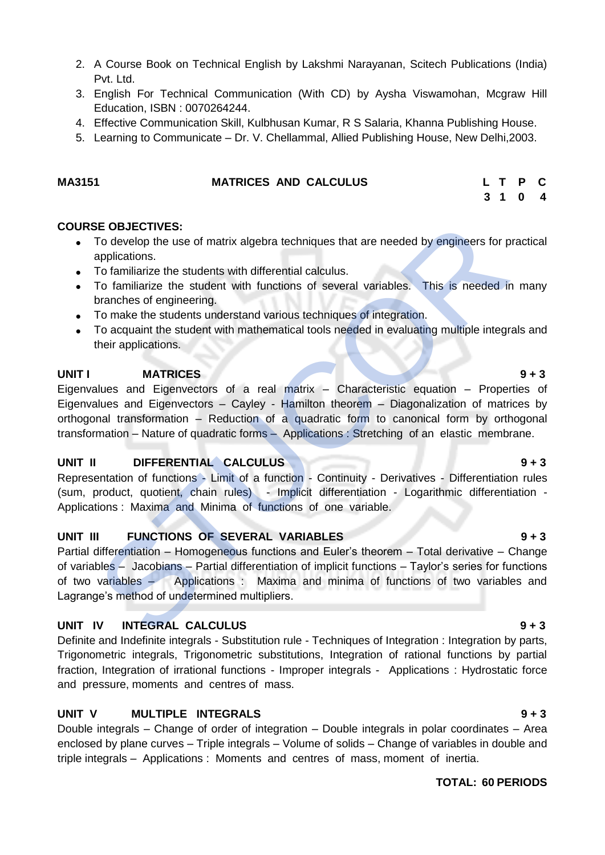- 2. A Course Book on Technical English by Lakshmi Narayanan, Scitech Publications (India) Pvt. Ltd.
- 3. English For Technical Communication (With CD) by [Aysha Viswamohan,](https://www.amazon.in/s/ref=dp_byline_sr_book_1?ie=UTF8&field-author=Aysha+Viswamohan&search-alias=stripbooks) Mcgraw Hill Education, ISBN : 0070264244.
- 4. Effective Communication Skill, Kulbhusan Kumar, R S Salaria, Khanna Publishing House.
- 5. Learning to Communicate Dr. V. Chellammal, Allied Publishing House, New Delhi,2003.

### **MA3151 MATRICES AND CALCULUS L T P C**

 **3 1 0 4**

#### **COURSE OBJECTIVES:**

- To develop the use of matrix algebra techniques that are needed by engineers for practical applications.
- To familiarize the students with differential calculus.
- To familiarize the student with functions of several variables. This is needed in many branches of engineering.
- To make the students understand various techniques of integration.
- To acquaint the student with mathematical tools needed in evaluating multiple integrals and their applications.

### **UNITI MATRICES** 9 + 3

Eigenvalues and Eigenvectors of a real matrix – Characteristic equation – Properties of Eigenvalues and Eigenvectors – Cayley - Hamilton theorem – Diagonalization of matrices by orthogonal transformation – Reduction of a quadratic form to canonical form by orthogonal transformation – Nature of quadratic forms – Applications : Stretching of an elastic membrane. SE OBJECTIVES:<br>
To develop the use of matrix algebra techniques that are needed by engineers for providing applications.<br>
To familiarize the students with differential calculus.<br>
To familiarize the student with functions o

# **UNIT II DIFFERENTIAL CALCULUS 9 + 3**

Representation of functions - Limit of a function - Continuity - Derivatives - Differentiation rules (sum, product, quotient, chain rules) - Implicit differentiation - Logarithmic differentiation - Applications : Maxima and Minima of functions of one variable.

# UNIT III FUNCTIONS OF SEVERAL VARIABLES **19 + 3**

Partial differentiation – Homogeneous functions and Euler's theorem – Total derivative – Change of variables – Jacobians – Partial differentiation of implicit functions – Taylor's series for functions of two variables – Applications : Maxima and minima of functions of two variables and Lagrange's method of undetermined multipliers.

# **UNIT IV INTEGRAL CALCULUS 9 + 3**

Definite and Indefinite integrals - Substitution rule - Techniques of Integration : Integration by parts, Trigonometric integrals, Trigonometric substitutions, Integration of rational functions by partial fraction, Integration of irrational functions - Improper integrals - Applications : Hydrostatic force and pressure, moments and centres of mass.

# **UNIT V MULTIPLE INTEGRALS 9 + 3**

Double integrals – Change of order of integration – Double integrals in polar coordinates – Area enclosed by plane curves – Triple integrals – Volume of solids – Change of variables in double and triple integrals – Applications : Moments and centres of mass, moment of inertia.

### **TOTAL: 60 PERIODS**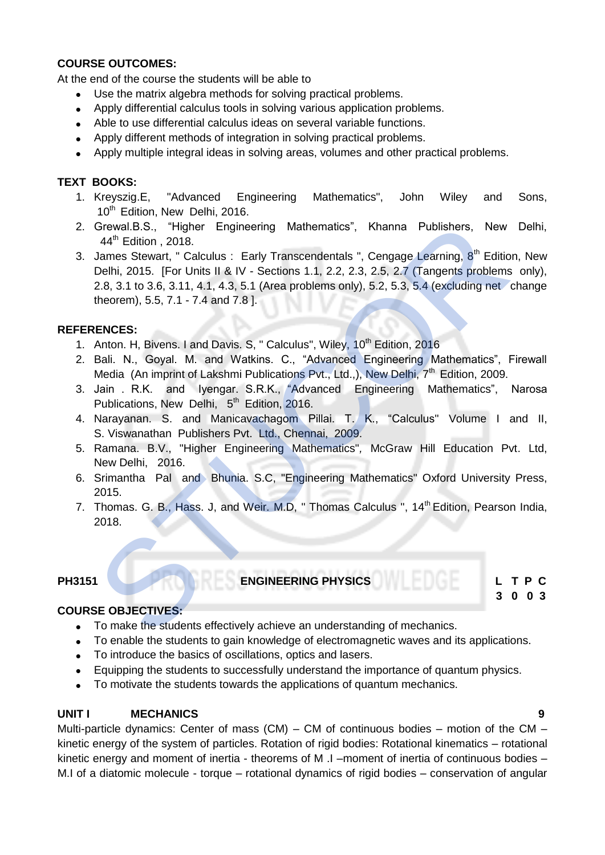### **COURSE OUTCOMES:**

At the end of the course the students will be able to

- Use the matrix algebra methods for solving practical problems.
- Apply differential calculus tools in solving various application problems.
- Able to use differential calculus ideas on several variable functions.
- Apply different methods of integration in solving practical problems.
- Apply multiple integral ideas in solving areas, volumes and other practical problems.

## **TEXT BOOKS:**

- 1. Kreyszig.E, "Advanced Engineering Mathematics", John Wiley and Sons, 10<sup>th</sup> Edition, New Delhi, 2016.
- 2. Grewal.B.S., "Higher Engineering Mathematics", Khanna Publishers, New Delhi, 44<sup>th</sup> Edition , 2018.
- 3. James Stewart, " Calculus : Early Transcendentals ", Cengage Learning, 8<sup>th</sup> Edition, New Delhi, 2015. [For Units II & IV - Sections 1.1, 2.2, 2.3, 2.5, 2.7 (Tangents problems only), 2.8, 3.1 to 3.6, 3.11, 4.1, 4.3, 5.1 (Area problems only), 5.2, 5.3, 5.4 (excluding net change theorem), 5.5, 7.1 - 7.4 and 7.8 ]. Grewal B.S., "Higher Engineering Mathematics", Khanna Publishers, New<br>
4<sup>49</sup> Edition, 2018.<br>
James Stewart, "Calculus: Early Transcendentals", Cengage Learning, 8<sup>n</sup> Editio<br>
Delhi, 2015. [For Units II & IV - Sections 1.1,

#### **REFERENCES:**

- 1. Anton. H, Bivens. I and Davis. S, " Calculus", Wiley, 10<sup>th</sup> Edition, 2016
- 2. Bali. N., Goyal. M. and Watkins. C., "Advanced Engineering Mathematics", Firewall Media (An imprint of Lakshmi Publications Pvt., Ltd.,), New Delhi, 7<sup>th</sup> Edition, 2009.
- 3. Jain . R.K. and Iyengar. S.R.K., "Advanced Engineering Mathematics", Narosa Publications, New Delhi, 5<sup>th</sup> Edition, 2016.
- 4. Narayanan. S. and Manicavachagom Pillai. T. K., "Calculus" Volume I and II, S. Viswanathan Publishers Pvt. Ltd., Chennai, 2009.
- 5. Ramana. B.V., "Higher Engineering Mathematics"*,* McGraw Hill Education Pvt. Ltd, New Delhi, 2016.
- 6. Srimantha Pal and Bhunia. S.C, "Engineering Mathematics" Oxford University Press, 2015.
- 7. Thomas. G. B., Hass. J. and Weir. M.D. " Thomas Calculus ", 14<sup>th</sup> Edition, Pearson India, 2018.

# **PH3151 L T P C**<br> **ENGINEERING PHYSICS**

**3 0 0 3** 

### **COURSE OBJECTIVES:**

- To make the students effectively achieve an understanding of mechanics.
- To enable the students to gain knowledge of electromagnetic waves and its applications.
- To introduce the basics of oscillations, optics and lasers.
- Equipping the students to successfully understand the importance of quantum physics.
- To motivate the students towards the applications of quantum mechanics.

#### **UNIT I MECHANICS 9**

Multi-particle dynamics: Center of mass  $(CM) - CM$  of continuous bodies – motion of the  $CM$ kinetic energy of the system of particles. Rotation of rigid bodies: Rotational kinematics – rotational kinetic energy and moment of inertia - theorems of M .I –moment of inertia of continuous bodies – M.I of a diatomic molecule - torque – rotational dynamics of rigid bodies – conservation of angular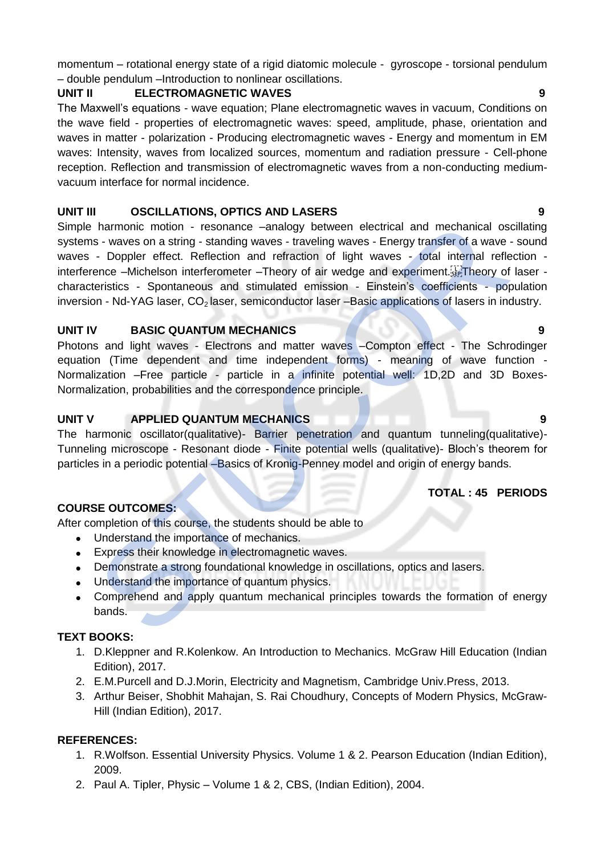momentum – rotational energy state of a rigid diatomic molecule - gyroscope - torsional pendulum – double pendulum –Introduction to nonlinear oscillations.

### **UNIT II ELECTROMAGNETIC WAVES 9**

The Maxwell's equations - wave equation; Plane electromagnetic waves in vacuum, Conditions on the wave field - properties of electromagnetic waves: speed, amplitude, phase, orientation and waves in matter - polarization - Producing electromagnetic waves - Energy and momentum in EM waves: Intensity, waves from localized sources, momentum and radiation pressure - Cell-phone reception. Reflection and transmission of electromagnetic waves from a non-conducting mediumvacuum interface for normal incidence.

### **UNIT III OSCILLATIONS, OPTICS AND LASERS 9**

Simple harmonic motion - resonance –analogy between electrical and mechanical oscillating systems - waves on a string - standing waves - traveling waves - Energy transfer of a wave - sound waves - Doppler effect. Reflection and refraction of light waves - total internal reflection interference –Michelson interferometer –Theory of air wedge and experiment. Theory of laser characteristics - Spontaneous and stimulated emission - Einstein's coefficients - population inversion - Nd-YAG laser, CO<sub>2</sub> laser, semiconductor laser –Basic applications of lasers in industry. harmonic motion - resonance -analogy between electrical and mechanical os<br>
s- waves on a sting- standing waves - traveling waves - Energy transfer of a wave<br>
c- Doppler effect. Reflection and refraction of light waves - to

#### **UNIT IV BASIC QUANTUM MECHANICS 9**

Photons and light waves - Electrons and matter waves –Compton effect - The Schrodinger equation (Time dependent and time independent forms) - meaning of wave function - Normalization –Free particle - particle in a infinite potential well: 1D,2D and 3D Boxes-Normalization, probabilities and the correspondence principle.

### **UNIT V APPLIED QUANTUM MECHANICS 9**

The harmonic oscillator(qualitative)- Barrier penetration and quantum tunneling(qualitative)- Tunneling microscope - Resonant diode - Finite potential wells (qualitative)- Bloch's theorem for particles in a periodic potential –Basics of Kronig-Penney model and origin of energy bands.

# **COURSE OUTCOMES:**

After completion of this course, the students should be able to

- Understand the importance of mechanics.
- Express their knowledge in electromagnetic waves.
- Demonstrate a strong foundational knowledge in oscillations, optics and lasers.
- Understand the importance of quantum physics.
- Comprehend and apply quantum mechanical principles towards the formation of energy bands.

# **TEXT BOOKS:**

- 1. D.Kleppner and R.Kolenkow. An Introduction to Mechanics. McGraw Hill Education (Indian Edition), 2017.
- 2. E.M.Purcell and D.J.Morin, Electricity and Magnetism, Cambridge Univ.Press, 2013.
- 3. Arthur Beiser, Shobhit Mahajan, S. Rai Choudhury, Concepts of Modern Physics, McGraw-Hill (Indian Edition), 2017.

#### **REFERENCES:**

- 1. R.Wolfson. Essential University Physics. Volume 1 & 2. Pearson Education (Indian Edition), 2009.
- 2. Paul A. Tipler, Physic Volume 1 & 2, CBS, (Indian Edition), 2004.

# **TOTAL : 45 PERIODS**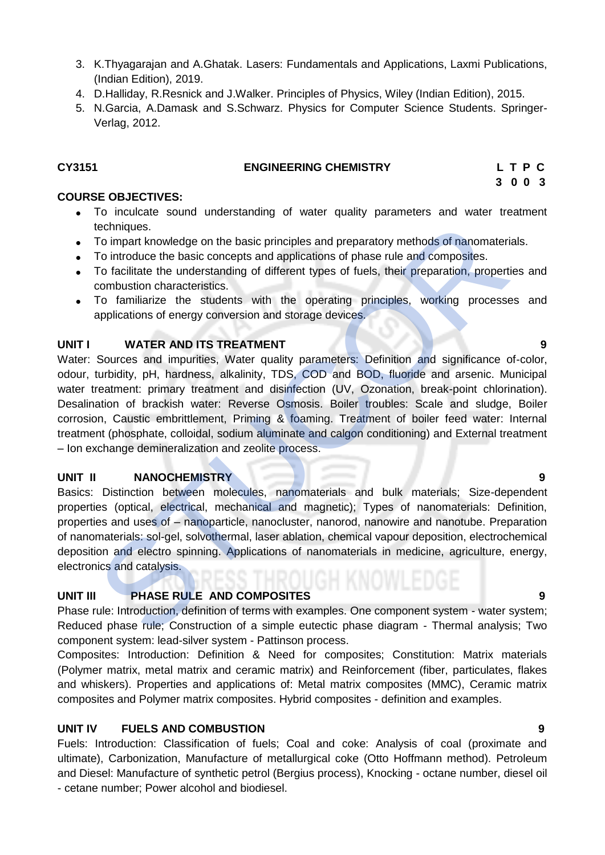- 3. K.Thyagarajan and A.Ghatak. Lasers: Fundamentals and Applications, Laxmi Publications, (Indian Edition), 2019.
- 4. D.Halliday, R.Resnick and J.Walker. Principles of Physics, Wiley (Indian Edition), 2015.
- 5. N.Garcia, A.Damask and S.Schwarz. Physics for Computer Science Students. Springer-Verlag, 2012.

#### **CY3151 ENGINEERING CHEMISTRY L T P C**

 **3 0 0 3**

### **COURSE OBJECTIVES:**

- To inculcate sound understanding of water quality parameters and water treatment techniques.
- To impart knowledge on the basic principles and preparatory methods of nanomaterials.
- To introduce the basic concepts and applications of phase rule and composites.
- To facilitate the understanding of different types of fuels, their preparation, properties and combustion characteristics.
- To familiarize the students with the operating principles, working processes and applications of energy conversion and storage devices.

### **UNIT I WATER AND ITS TREATMENT 9** 9

Water: Sources and impurities, Water quality parameters: Definition and significance of-color, odour, turbidity, pH, hardness, alkalinity, TDS, COD and BOD, fluoride and arsenic. Municipal water treatment: primary treatment and disinfection (UV, Ozonation, break-point chlorination). Desalination of brackish water: Reverse Osmosis. Boiler troubles: Scale and sludge, Boiler corrosion, Caustic embrittlement, Priming & foaming. Treatment of boiler feed water: Internal treatment (phosphate, colloidal, sodium aluminate and calgon conditioning) and External treatment – Ion exchange demineralization and zeolite process. techniques.<br>
To impart knowledge on the basic principles and preparatory methods of nanomater<br>
To imtroduce the basic concepts and applications of phase rule and composites.<br>
To facilitate the understanding of different ty

# **UNIT II NANOCHEMISTRY 9**

Basics: Distinction between molecules, nanomaterials and bulk materials; Size-dependent properties (optical, electrical, mechanical and magnetic); Types of nanomaterials: Definition, properties and uses of – nanoparticle, nanocluster, nanorod, nanowire and nanotube. Preparation of nanomaterials: sol-gel, solvothermal, laser ablation, chemical vapour deposition, electrochemical deposition and electro spinning. Applications of nanomaterials in medicine, agriculture, energy, electronics and catalysis.

# **UNIT III PHASE RULE AND COMPOSITES 9**

Phase rule: Introduction, definition of terms with examples. One component system - water system; Reduced phase rule; Construction of a simple eutectic phase diagram - Thermal analysis; Two component system: lead-silver system - Pattinson process.

Composites: Introduction: Definition & Need for composites; Constitution: Matrix materials (Polymer matrix, metal matrix and ceramic matrix) and Reinforcement (fiber, particulates, flakes and whiskers). Properties and applications of: Metal matrix composites (MMC), Ceramic matrix composites and Polymer matrix composites. Hybrid composites - definition and examples.

# **UNIT IV FUELS AND COMBUSTION 9**

Fuels: Introduction: Classification of fuels; Coal and coke: Analysis of coal (proximate and ultimate), Carbonization, Manufacture of metallurgical coke (Otto Hoffmann method). Petroleum and Diesel: Manufacture of synthetic petrol (Bergius process), Knocking - octane number, diesel oil - cetane number; Power alcohol and biodiesel.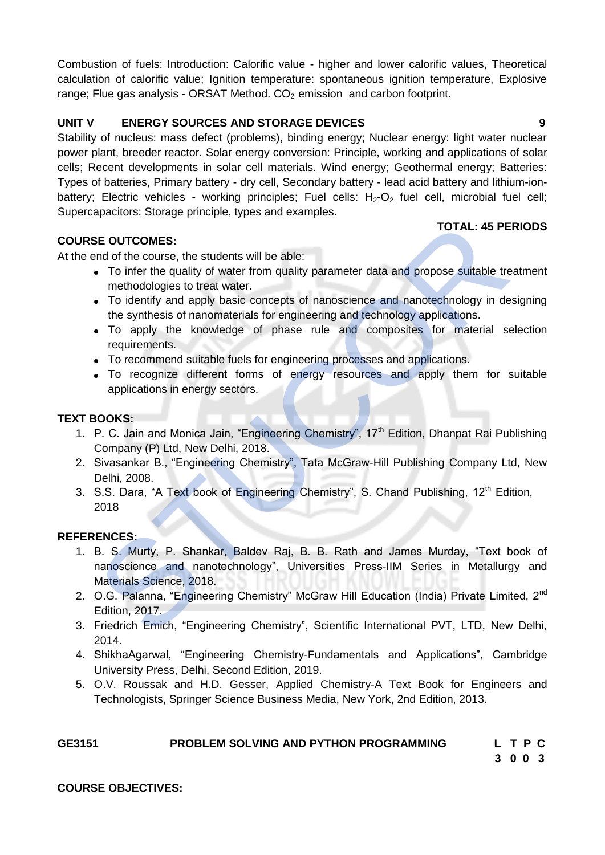Combustion of fuels: Introduction: Calorific value - higher and lower calorific values, Theoretical calculation of calorific value; Ignition temperature: spontaneous ignition temperature, Explosive range; Flue gas analysis - ORSAT Method.  $CO<sub>2</sub>$  emission and carbon footprint.

# **UNIT V ENERGY SOURCES AND STORAGE DEVICES 9**

Stability of nucleus: mass defect (problems), binding energy; Nuclear energy: light water nuclear power plant, breeder reactor. Solar energy conversion: Principle, working and applications of solar cells; Recent developments in solar cell materials. Wind energy; Geothermal energy; Batteries: Types of batteries, Primary battery - dry cell, Secondary battery - lead acid battery and lithium-ionbattery; Electric vehicles - working principles; Fuel cells:  $H_2$ - $O_2$  fuel cell, microbial fuel cell; Supercapacitors: Storage principle, types and examples.

# **COURSE OUTCOMES:**

At the end of the course, the students will be able:

- To infer the quality of water from quality parameter data and propose suitable treatment methodologies to treat water.
- To identify and apply basic concepts of nanoscience and nanotechnology in designing the synthesis of nanomaterials for engineering and technology applications.
- To apply the knowledge of phase rule and composites for material selection requirements.
- To recommend suitable fuels for engineering processes and applications.
- To recognize different forms of energy resources and apply them for suitable applications in energy sectors.

# **TEXT BOOKS:**

- 1. P. C. Jain and Monica Jain, "Engineering Chemistry", 17<sup>th</sup> Edition, Dhanpat Rai Publishing Company (P) Ltd, New Delhi, 2018.
- 2. Sivasankar B., "Engineering Chemistry", Tata McGraw-Hill Publishing Company Ltd, New Delhi, 2008.
- 3. S.S. Dara, "A Text book of Engineering Chemistry", S. Chand Publishing, 12<sup>th</sup> Edition, 2018

#### **REFERENCES:**

- 1. B. S. Murty, P. Shankar, Baldev Raj, B. B. Rath and James Murday, "Text book of nanoscience and nanotechnology", Universities Press-IIM Series in Metallurgy and Materials Science, 2018. TOTAL: 45 PE<br>
ITOTAL: 45 PE<br>
and of the course, the students will be able:<br>
To infer the quality of water from quality parameter data and propose suitable tre<br>
methodologies to treat water.<br>
To identify and apply basic con
- 2. O.G. Palanna, "Engineering Chemistry" McGraw Hill Education (India) Private Limited, 2<sup>nd</sup> Edition, 2017.
- 3. Friedrich Emich, "Engineering Chemistry", Scientific International PVT, LTD, New Delhi, 2014.
- 4. ShikhaAgarwal, "Engineering Chemistry-Fundamentals and Applications", Cambridge University Press, Delhi, Second Edition, 2019.
- 5. O.V. Roussak and H.D. Gesser, Applied Chemistry-A Text Book for Engineers and Technologists, Springer Science Business Media, New York, 2nd Edition, 2013.

| GE3151 | <b>PROBLEM SOLVING AND PYTHON PROGRAMMING</b> | L T P C |  |  |
|--------|-----------------------------------------------|---------|--|--|
|        |                                               | 3003    |  |  |

#### **COURSE OBJECTIVES:**

# **TOTAL: 45 PERIODS**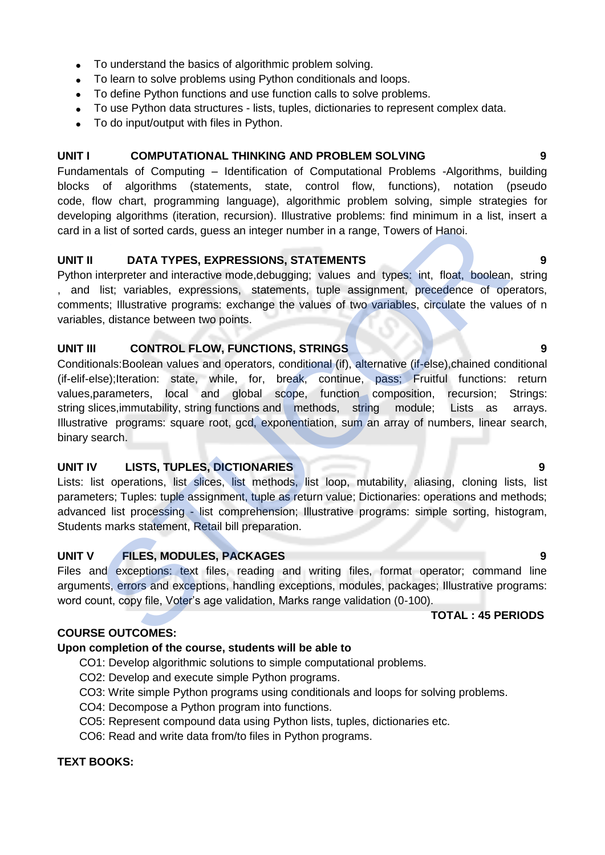- To understand the basics of algorithmic problem solving.
- To learn to solve problems using Python conditionals and loops.
- To define Python functions and use function calls to solve problems.
- To use Python data structures lists, tuples, dictionaries to represent complex data.
- To do input/output with files in Python.

### **UNIT I COMPUTATIONAL THINKING AND PROBLEM SOLVING 9**

Fundamentals of Computing – Identification of Computational Problems -Algorithms, building blocks of algorithms (statements, state, control flow, functions), notation (pseudo code, flow chart, programming language), algorithmic problem solving, simple strategies for developing algorithms (iteration, recursion). Illustrative problems: find minimum in a list, insert a card in a list of sorted cards, guess an integer number in a range, Towers of Hanoi.

### **UNIT II DATA TYPES, EXPRESSIONS, STATEMENTS 9**

Python interpreter and interactive mode, debugging; values and types: int, float, boolean, string , and list; variables, expressions, statements, tuple assignment, precedence of operators, comments; Illustrative programs: exchange the values of two variables, circulate the values of n variables, distance between two points.

### **UNIT III CONTROL FLOW, FUNCTIONS, STRINGS 9**

Conditionals:Boolean values and operators, conditional (if), alternative (if-else),chained conditional (if-elif-else);Iteration: state, while, for, break, continue, pass; Fruitful functions: return values,parameters, local and global scope, function composition, recursion; Strings: string slices, immutability, string functions and methods, string module; Lists as arrays. Illustrative programs: square root, gcd, exponentiation, sum an array of numbers, linear search, binary search. any and a alist of sorted cards, guess an integer number in a range, Towers of Hanoi.<br>
a list of sorted cards, guess an integer number in a range, Towers of Hanoi.<br>
DATA TYPES, EXPRESSIONS, STATEMENTS<br>
interpreter and inte

# **UNIT IV LISTS, TUPLES, DICTIONARIES 9**

Lists: list operations, list slices, list methods, list loop, mutability, aliasing, cloning lists, list parameters; Tuples: tuple assignment, tuple as return value; Dictionaries: operations and methods; advanced list processing - list comprehension; Illustrative programs: simple sorting, histogram, Students marks statement, Retail bill preparation.

# **UNIT V FILES, MODULES, PACKAGES 9**

Files and exceptions: text files, reading and writing files, format operator; command line arguments, errors and exceptions, handling exceptions, modules, packages; Illustrative programs: word count, copy file, Voter's age validation, Marks range validation (0-100).

**TOTAL : 45 PERIODS**

#### **COURSE OUTCOMES:**

# **Upon completion of the course, students will be able to**

- CO1: Develop algorithmic solutions to simple computational problems.
- CO2: Develop and execute simple Python programs.
- CO3: Write simple Python programs using conditionals and loops for solving problems.
- CO4: Decompose a Python program into functions.
- CO5: Represent compound data using Python lists, tuples, dictionaries etc.
- CO6: Read and write data from/to files in Python programs.

### **TEXT BOOKS:**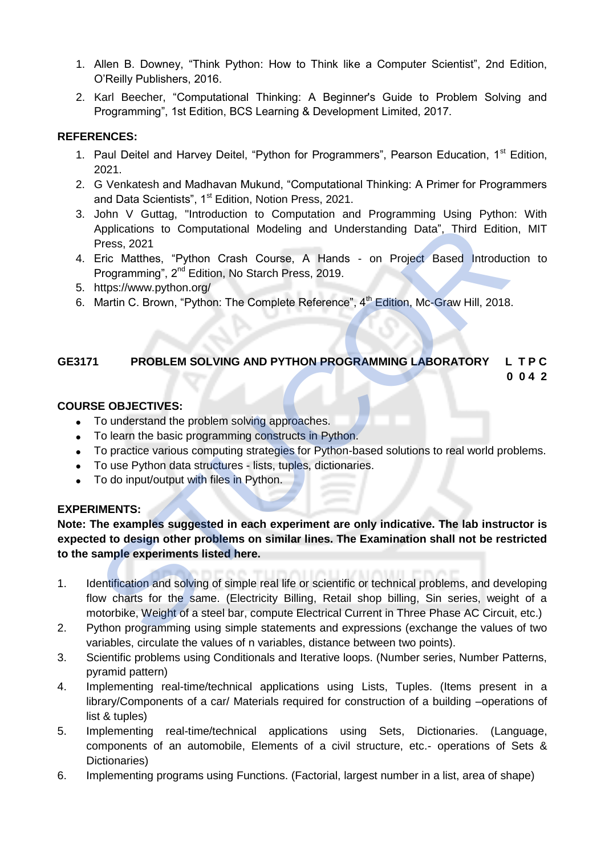- 1. Allen B. Downey, "Think Python: How to Think like a Computer Scientist", 2nd Edition, O'Reilly Publishers, 2016.
- 2. Karl Beecher, "Computational Thinking: A Beginner's Guide to Problem Solving and Programming", 1st Edition, BCS Learning & Development Limited, 2017.

# **REFERENCES:**

- 1. Paul Deitel and Harvey Deitel, "Python for Programmers", Pearson Education, 1<sup>st</sup> Edition, 2021.
- 2. G Venkatesh and Madhavan Mukund, "Computational Thinking: A Primer for Programmers and Data Scientists", 1<sup>st</sup> Edition, Notion Press, 2021.
- 3. John V Guttag, "Introduction to Computation and Programming Using Python: With Applications to Computational Modeling and Understanding Data", Third Edition, MIT Press, 2021
- 4. Eric Matthes, "Python Crash Course, A Hands on Project Based Introduction to Programming", 2<sup>nd</sup> Edition, No Starch Press, 2019.
- 5. https://www.python.org/
- 6. Martin C. Brown, "Python: The Complete Reference",  $4<sup>th</sup>$  Edition, Mc-Graw Hill, 2018.

# **GE3171 PROBLEM SOLVING AND PYTHON PROGRAMMING LABORATORY L T P C**

 **0 0 4 2**

# **COURSE OBJECTIVES:**

- To understand the problem solving approaches.
- To learn the basic programming constructs in Python.
- To practice various computing strategies for Python-based solutions to real world problems.
- To use Python data structures lists, tuples, dictionaries.
- To do input/output with files in Python.

# **EXPERIMENTS:**

**Note: The examples suggested in each experiment are only indicative. The lab instructor is expected to design other problems on similar lines. The Examination shall not be restricted to the sample experiments listed here.** Applications to Computational Modeling and Understanding Data", Third Editioners, 2021<br>
Press, 2021<br>
Eric Matthes, "Python Crash Course, A Hands - on Project Based Introduce<br>
Programming", 2<sup>c2</sup> Edition, No Starch Press, 2

- 1. Identification and solving of simple real life or scientific or technical problems, and developing flow charts for the same. (Electricity Billing, Retail shop billing, Sin series, weight of a motorbike, Weight of a steel bar, compute Electrical Current in Three Phase AC Circuit, etc.)
- 2. Python programming using simple statements and expressions (exchange the values of two variables, circulate the values of n variables, distance between two points).
- 3. Scientific problems using Conditionals and Iterative loops. (Number series, Number Patterns, pyramid pattern)
- 4. Implementing real-time/technical applications using Lists, Tuples. (Items present in a library/Components of a car/ Materials required for construction of a building –operations of list & tuples)
- 5. Implementing real-time/technical applications using Sets, Dictionaries. (Language, components of an automobile, Elements of a civil structure, etc.- operations of Sets & Dictionaries)
- 6. Implementing programs using Functions. (Factorial, largest number in a list, area of shape)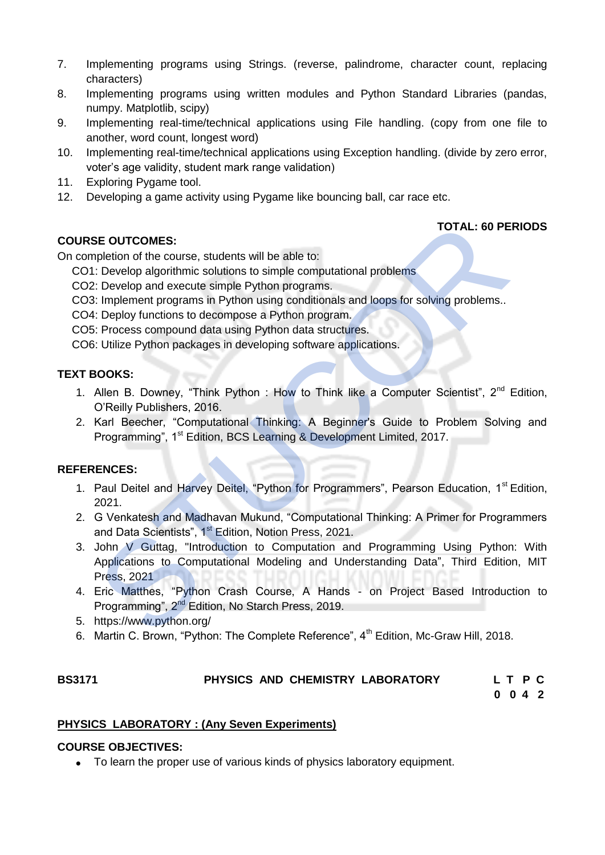- 7. Implementing programs using Strings. (reverse, palindrome, character count, replacing characters)
- 8. Implementing programs using written modules and Python Standard Libraries (pandas, numpy. Matplotlib, scipy)
- 9. Implementing real-time/technical applications using File handling. (copy from one file to another, word count, longest word)
- 10. Implementing real-time/technical applications using Exception handling. (divide by zero error, voter's age validity, student mark range validation)
- 11. Exploring Pygame tool.
- 12. Developing a game activity using Pygame like bouncing ball, car race etc.

# **TOTAL: 60 PERIODS**

# **COURSE OUTCOMES:**

On completion of the course, students will be able to:

- CO1: Develop algorithmic solutions to simple computational problems
- CO2: Develop and execute simple Python programs.
- CO3: Implement programs in Python using conditionals and loops for solving problems..
- CO4: Deploy functions to decompose a Python program.
- CO5: Process compound data using Python data structures.
- CO6: Utilize Python packages in developing software applications.

# **TEXT BOOKS:**

- 1. Allen B. Downey, "Think Python : How to Think like a Computer Scientist", 2<sup>nd</sup> Edition, O'Reilly Publishers, 2016.
- 2. Karl Beecher, "Computational Thinking: A Beginner's Guide to Problem Solving and Programming", 1<sup>st</sup> Edition, BCS Learning & Development Limited, 2017.

# **REFERENCES:**

- 1. Paul Deitel and Harvey Deitel, "Python for Programmers", Pearson Education, 1<sup>st</sup> Edition, 2021.
- 2. G Venkatesh and Madhavan Mukund, "Computational Thinking: A Primer for Programmers and Data Scientists", 1<sup>st</sup> Edition, Notion Press, 2021.
- 3. John V Guttag, "Introduction to Computation and Programming Using Python: With Applications to Computational Modeling and Understanding Data", Third Edition, MIT Press, 2021 **STE OUTCOMES:**<br>
TOTAL: 60 PE<br>
I: Develop algorithmic solutions to simple computational problems<br>
I: Develop and execute simple Python programs.<br>
2: Develop and execute simple Python programs.<br>
1: Deploy functions to decom
- 4. Eric Matthes, "Python Crash Course, A Hands on Project Based Introduction to Programming", 2nd Edition, No Starch Press, 2019.
- 5. https://www.python.org/
- 6. Martin C. Brown, "Python: The Complete Reference", 4<sup>th</sup> Edition, Mc-Graw Hill. 2018.

# **BS3171 PHYSICS AND CHEMISTRY LABORATORY L T P C**

**0 0 4 2**

# **PHYSICS LABORATORY : (Any Seven Experiments)**

#### **COURSE OBJECTIVES:**

• To learn the proper use of various kinds of physics laboratory equipment.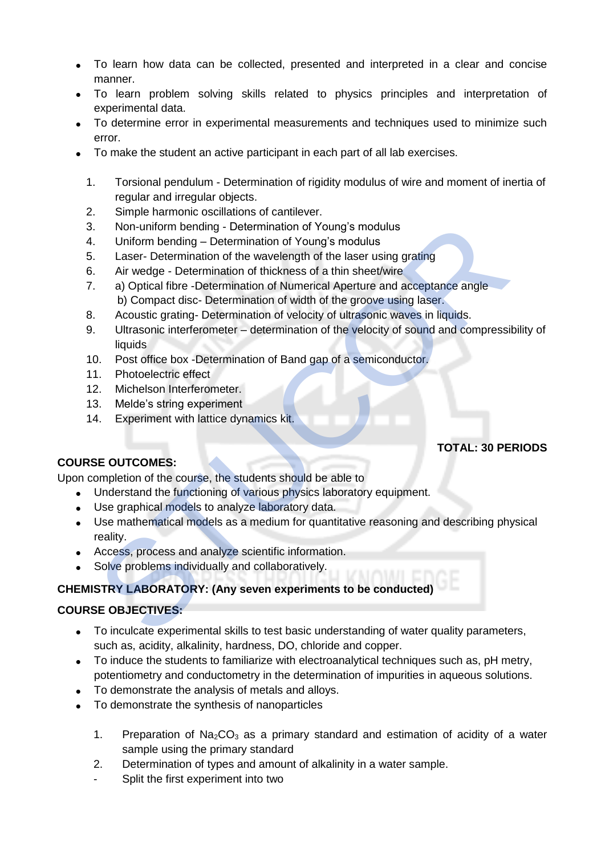- To learn how data can be collected, presented and interpreted in a clear and concise manner.
- To learn problem solving skills related to physics principles and interpretation of experimental data.
- To determine error in experimental measurements and techniques used to minimize such error.
- To make the student an active participant in each part of all lab exercises.
	- 1. Torsional pendulum Determination of rigidity modulus of wire and moment of inertia of regular and irregular objects.
	- 2. Simple harmonic oscillations of cantilever.
	- 3. Non-uniform bending Determination of Young's modulus
	- 4. Uniform bending Determination of Young's modulus
	- 5. Laser- Determination of the wavelength of the laser using grating
	- 6. Air wedge Determination of thickness of a thin sheet/wire
	- 7. a) Optical fibre -Determination of Numerical Aperture and acceptance angle b) Compact disc- Determination of width of the groove using laser. Non-uniform bending - Determination of Young's modulus<br>
	Uniform bending - Determination of Young's modulus<br>
	Laser- Determination of the wavelength of the laser using grating<br>
	Air wedge - Determination of thickness of a thi
	- 8. Acoustic grating- Determination of velocity of ultrasonic waves in liquids.
	- 9. Ultrasonic interferometer determination of the velocity of sound and compressibility of **liquids**
	- 10. Post office box -Determination of Band gap of a semiconductor.
	- 11. Photoelectric effect
	- 12. Michelson Interferometer.
	- 13. Melde's string experiment
	- 14. Experiment with lattice dynamics kit.

# **TOTAL: 30 PERIODS**

### **COURSE OUTCOMES:**

Upon completion of the course, the students should be able to

- Understand the functioning of various physics laboratory equipment.
- Use graphical models to analyze laboratory data.
- Use mathematical models as a medium for quantitative reasoning and describing physical reality.
- Access, process and analyze scientific information.
- Solve problems individually and collaboratively.

# **CHEMISTRY LABORATORY: (Any seven experiments to be conducted)**

# **COURSE OBJECTIVES:**

- To inculcate experimental skills to test basic understanding of water quality parameters, such as, acidity, alkalinity, hardness, DO, chloride and copper.
- To induce the students to familiarize with electroanalytical techniques such as, pH metry, potentiometry and conductometry in the determination of impurities in aqueous solutions.
- To demonstrate the analysis of metals and alloys.
- To demonstrate the synthesis of nanoparticles
	- 1. Preparation of  $Na<sub>2</sub>CO<sub>3</sub>$  as a primary standard and estimation of acidity of a water sample using the primary standard
	- 2. Determination of types and amount of alkalinity in a water sample.
	- Split the first experiment into two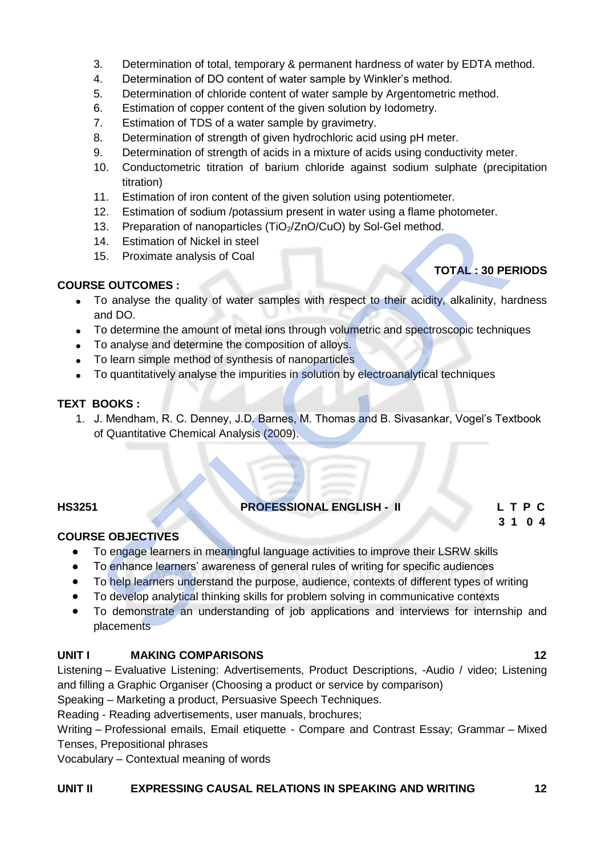- 3. Determination of total, temporary & permanent hardness of water by EDTA method.
- 4. Determination of DO content of water sample by Winkler's method.
- 5. Determination of chloride content of water sample by Argentometric method.
- 6. Estimation of copper content of the given solution by Iodometry.
- 7. Estimation of TDS of a water sample by gravimetry.
- 8. Determination of strength of given hydrochloric acid using pH meter.
- 9. Determination of strength of acids in a mixture of acids using conductivity meter.
- 10. Conductometric titration of barium chloride against sodium sulphate (precipitation titration)
- 11. Estimation of iron content of the given solution using potentiometer.
- 12. Estimation of sodium /potassium present in water using a flame photometer.
- 13. Preparation of nanoparticles  $(TiO<sub>2</sub>/ZnO/CuO)$  by Sol-Gel method.
- 14. Estimation of Nickel in steel
- 15. Proximate analysis of Coal

# **TOTAL : 30 PERIODS**

### **COURSE OUTCOMES :**

- To analyse the quality of water samples with respect to their acidity, alkalinity, hardness and DO.
- To determine the amount of metal ions through volumetric and spectroscopic techniques
- To analyse and determine the composition of alloys.
- To learn simple method of synthesis of nanoparticles
- To quantitatively analyse the impurities in solution by electroanalytical techniques

# **TEXT BOOKS :**

1. J. Mendham, R. C. Denney, J.D. Barnes, M. Thomas and B. Sivasankar, Vogel's Textbook of Quantitative Chemical Analysis (2009). 13. Preparation of nanoparticles (TiO<sub>2</sub>/ZnO/CuO) by Sol-Gel method.<br>
14. Estimation of Nickel in steel<br>
15. Proximate analysis of Coal<br>
15. Proximate analysis of Coal<br>
15. Proximate analysis of Coal<br>
16. Proximate and the

# **HS3251 PROFESSIONAL ENGLISH - II L T P C**

**3 1 0 4** 

# **COURSE OBJECTIVES**

- To engage learners in meaningful language activities to improve their LSRW skills
- To enhance learners' awareness of general rules of writing for specific audiences
- To help learners understand the purpose, audience, contexts of different types of writing
- To develop analytical thinking skills for problem solving in communicative contexts
- To demonstrate an understanding of job applications and interviews for internship and placements

#### **UNIT I MAKING COMPARISONS 12**

Listening – Evaluative Listening: Advertisements, Product Descriptions, -Audio / video; Listening and filling a Graphic Organiser (Choosing a product or service by comparison)

Speaking – Marketing a product, Persuasive Speech Techniques.

Reading - Reading advertisements, user manuals, brochures;

Writing – Professional emails, Email etiquette - Compare and Contrast Essay; Grammar – Mixed Tenses, Prepositional phrases

Vocabulary – Contextual meaning of words

#### **UNIT II EXPRESSING CAUSAL RELATIONS IN SPEAKING AND WRITING 12**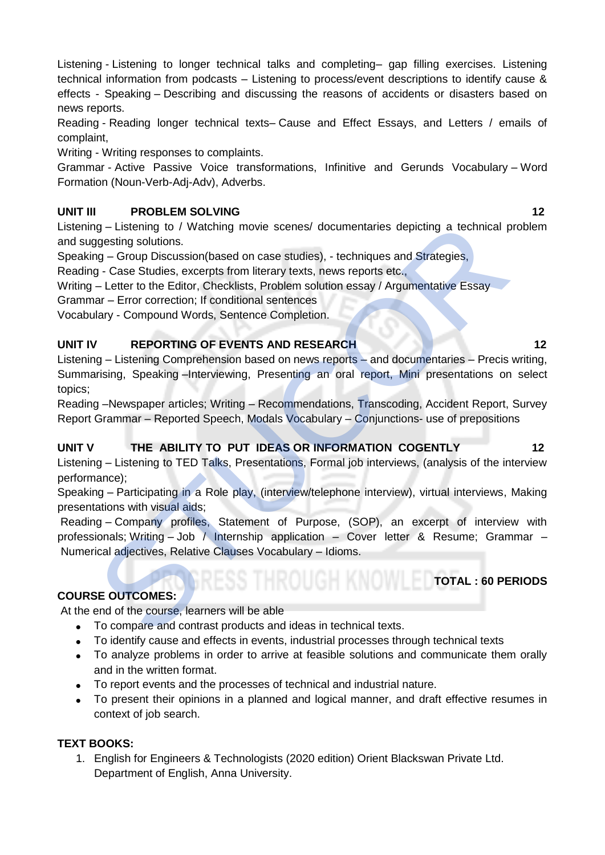Listening - Listening to longer technical talks and completing– gap filling exercises. Listening technical information from podcasts – Listening to process/event descriptions to identify cause & effects - Speaking – Describing and discussing the reasons of accidents or disasters based on news reports.

Reading - Reading longer technical texts– Cause and Effect Essays, and Letters / emails of complaint,

Writing - Writing responses to complaints.

Grammar - Active Passive Voice transformations, Infinitive and Gerunds Vocabulary – Word Formation (Noun-Verb-Adj-Adv), Adverbs.

# **UNIT III** PROBLEM SOLVING **12**

Listening – Listening to / Watching movie scenes/ documentaries depicting a technical problem and suggesting solutions.

Speaking – Group Discussion(based on case studies), - techniques and Strategies,

Reading - Case Studies, excerpts from literary texts, news reports etc.,

Writing – Letter to the Editor, Checklists, Problem solution essay / Argumentative Essay

Grammar – Error correction; If conditional sentences

Vocabulary - Compound Words, Sentence Completion.

# **UNIT IV REPORTING OF EVENTS AND RESEARCH 12 12**

Listening – Listening Comprehension based on news reports – and documentaries – Precis writing, Summarising, Speaking –Interviewing, Presenting an oral report, Mini presentations on select topics; ng – Listening to / Watching movie scenes/ documentaries depicting a technical providing solutions.<br>
Signarity solutions.<br>
Surface Studies, excepts from literary texts, news reports etc.,<br>
- Letter to the Editor, Checklist

Reading –Newspaper articles; Writing – Recommendations, Transcoding, Accident Report, Survey Report Grammar – Reported Speech, Modals Vocabulary – Conjunctions- use of prepositions

# **UNIT V THE ABILITY TO PUT IDEAS OR INFORMATION COGENTLY 12**

Listening – Listening to TED Talks, Presentations, Formal job interviews, (analysis of the interview performance);

Speaking – Participating in a Role play, (interview/telephone interview), virtual interviews, Making presentations with visual aids;

Reading – Company profiles, Statement of Purpose, (SOP), an excerpt of interview with professionals; Writing – Job / Internship application – Cover letter & Resume; Grammar – Numerical adjectives, Relative Clauses Vocabulary – Idioms.

# **COURSE OUTCOMES:**

At the end of the course, learners will be able

- To compare and contrast products and ideas in technical texts.
- To identify cause and effects in events, industrial processes through technical texts
- To analyze problems in order to arrive at feasible solutions and communicate them orally and in the written format.
- To report events and the processes of technical and industrial nature.
- To present their opinions in a planned and logical manner, and draft effective resumes in context of job search.

# **TEXT BOOKS:**

1. English for Engineers & Technologists (2020 edition) Orient Blackswan Private Ltd. Department of English, Anna University.

**TOTAL : 60 PERIODS**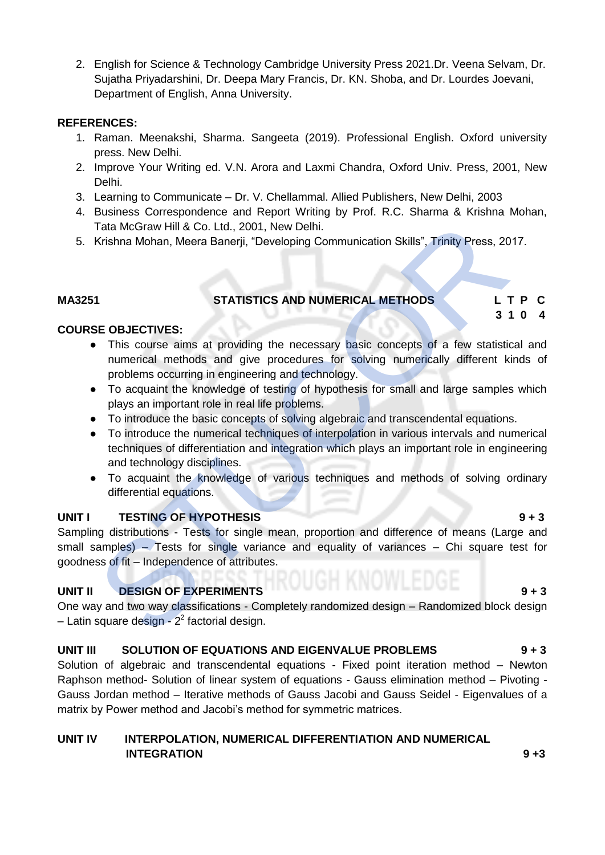2. English for Science & Technology Cambridge University Press 2021.Dr. Veena Selvam, Dr. Sujatha Priyadarshini, Dr. Deepa Mary Francis, Dr. KN. Shoba, and Dr. Lourdes Joevani, Department of English, Anna University.

#### **REFERENCES:**

- 1. Raman. Meenakshi, Sharma. Sangeeta (2019). Professional English. Oxford university press. New Delhi.
- 2. Improve Your Writing ed. V.N. Arora and Laxmi Chandra, Oxford Univ. Press, 2001, New Delhi.
- 3. Learning to Communicate Dr. V. Chellammal. Allied Publishers, New Delhi, 2003
- 4. Business Correspondence and Report Writing by Prof. R.C. Sharma & Krishna Mohan, Tata McGraw Hill & Co. Ltd., 2001, New Delhi.
- 5. Krishna Mohan, Meera Banerji, "Developing Communication Skills", Trinity Press, 2017.

## **MA3251 STATISTICS AND NUMERICAL METHODS L T P C**

**3 1 0 4** 

# **COURSE OBJECTIVES:**

- This course aims at providing the necessary basic concepts of a few statistical and numerical methods and give procedures for solving numerically different kinds of problems occurring in engineering and technology.
- To acquaint the knowledge of testing of hypothesis for small and large samples which plays an important role in real life problems.
- To introduce the basic concepts of solving algebraic and transcendental equations.
- To introduce the numerical techniques of interpolation in various intervals and numerical techniques of differentiation and integration which plays an important role in engineering and technology disciplines. Tata McGraw Hill & Co. Ltd., 2001, New Delhi.<br>
Krishna Mohan, Meera Banerji, "Developing Communication Skills", Trinity Press, 20<br>
STATISTICS AND NUMERICAL METHODS<br>
STATISTICS AND NUMERICAL METHODS<br>
STATISTICS AND NUMERICA
- To acquaint the knowledge of various techniques and methods of solving ordinary differential equations.

#### **UNIT I** TESTING OF HYPOTHESIS 9 + 3

Sampling distributions - Tests for single mean, proportion and difference of means (Large and small samples) – Tests for single variance and equality of variances – Chi square test for goodness of fit – Independence of attributes.

# **UNIT II DESIGN OF EXPERIMENTS 19 + 3**

One way and two way classifications - Completely randomized design – Randomized block design – Latin square design - 2<sup>2</sup> factorial design.

#### **UNIT III SOLUTION OF EQUATIONS AND EIGENVALUE PROBLEMS 9 + 3**

Solution of algebraic and transcendental equations - Fixed point iteration method – Newton Raphson method- Solution of linear system of equations - Gauss elimination method – Pivoting - Gauss Jordan method – Iterative methods of Gauss Jacobi and Gauss Seidel - Eigenvalues of a matrix by Power method and Jacobi's method for symmetric matrices.

# **UNIT IV INTERPOLATION, NUMERICAL DIFFERENTIATION AND NUMERICAL INTEGRATION** 9 +3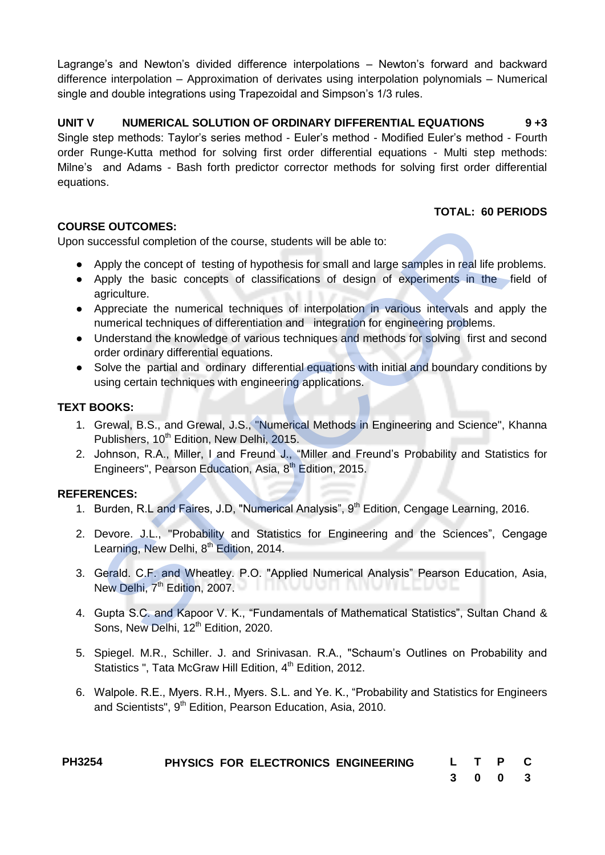Lagrange's and Newton's divided difference interpolations – Newton's forward and backward difference interpolation – Approximation of derivates using interpolation polynomials – Numerical single and double integrations using Trapezoidal and Simpson's 1/3 rules.

**UNIT V NUMERICAL SOLUTION OF ORDINARY DIFFERENTIAL EQUATIONS 9 +3** Single step methods: Taylor's series method - Euler's method - Modified Euler's method - Fourth order Runge-Kutta method for solving first order differential equations - Multi step methods: Milne's and Adams - Bash forth predictor corrector methods for solving first order differential equations.

# **TOTAL: 60 PERIODS**

### **COURSE OUTCOMES:**

Upon successful completion of the course, students will be able to:

- Apply the concept of testing of hypothesis for small and large samples in real life problems.
- Apply the basic concepts of classifications of design of experiments in the field of agriculture. SE OUTCOMES:<br>
Maply the concept of testing of hypothesis for small and large samples in real life property<br>
Apply the concepts of desistications of design of experiments in the<br>
Apply the basic concepts of classifications
- Appreciate the numerical techniques of interpolation in various intervals and apply the numerical techniques of differentiation and integration for engineering problems.
- Understand the knowledge of various techniques and methods for solving first and second order ordinary differential equations.
- Solve the partial and ordinary differential equations with initial and boundary conditions by using certain techniques with engineering applications.

# **TEXT BOOKS:**

- 1. Grewal, B.S., and Grewal, J.S., "Numerical Methods in Engineering and Science", Khanna Publishers, 10<sup>th</sup> Edition, New Delhi, 2015.
- 2. Johnson, R.A., Miller, I and Freund J., "Miller and Freund's Probability and Statistics for Engineers", Pearson Education, Asia, 8<sup>th</sup> Edition, 2015.

# **REFERENCES:**

- 1. Burden, R.L and Faires, J.D, "Numerical Analysis", 9<sup>th</sup> Edition, Cengage Learning, 2016.
- 2. Devore. J.L., "Probability and Statistics for Engineering and the Sciences", Cengage Learning, New Delhi, 8<sup>th</sup> Edition, 2014.
- 3. Gerald. C.F. and Wheatley. P.O. "Applied Numerical Analysis" Pearson Education, Asia, New Delhi,  $7<sup>th</sup>$  Edition, 2007.  $\blacksquare$
- 4. Gupta S.C. and Kapoor V. K., "Fundamentals of Mathematical Statistics", Sultan Chand & Sons, New Delhi, 12<sup>th</sup> Edition, 2020.
- 5. Spiegel. M.R., Schiller. J. and Srinivasan. R.A., "Schaum's Outlines on Probability and Statistics ", Tata McGraw Hill Edition, 4<sup>th</sup> Edition, 2012.
- 6. Walpole. R.E., Myers. R.H., Myers. S.L. and Ye. K., "Probability and Statistics for Engineers and Scientists", 9<sup>th</sup> Edition, Pearson Education, Asia, 2010.

| <b>PH3254</b> |  | PHYSICS FOR ELECTRONICS ENGINEERING | L T P C |         |  |
|---------------|--|-------------------------------------|---------|---------|--|
|               |  |                                     |         | 3 0 0 3 |  |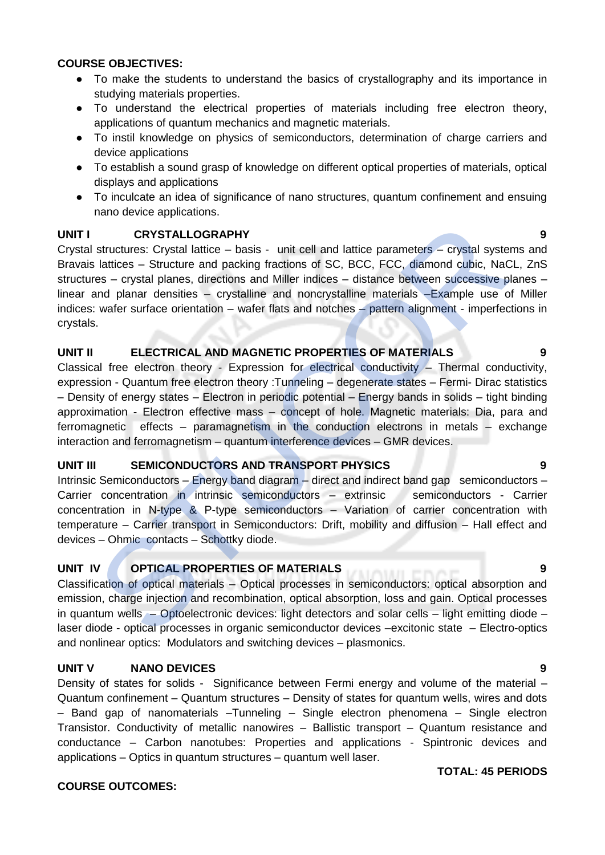#### **COURSE OBJECTIVES:**

- To make the students to understand the basics of crystallography and its importance in studying materials properties.
- To understand the electrical properties of materials including free electron theory, applications of quantum mechanics and magnetic materials.
- To instil knowledge on physics of semiconductors, determination of charge carriers and device applications
- To establish a sound grasp of knowledge on different optical properties of materials, optical displays and applications
- To inculcate an idea of significance of nano structures, quantum confinement and ensuing nano device applications.

#### **UNIT I CRYSTALLOGRAPHY 9**

Crystal structures: Crystal lattice – basis - unit cell and lattice parameters – crystal systems and Bravais lattices – Structure and packing fractions of SC, BCC, FCC, diamond cubic, NaCL, ZnS structures – crystal planes, directions and Miller indices – distance between successive planes – linear and planar densities – crystalline and noncrystalline materials –Example use of Miller indices: wafer surface orientation – wafer flats and notches – pattern alignment - imperfections in crystals. **CRYSTALLOGRAPHY**<br>
structures: Crystal lattice – basis - unit cell and lattice parameters – crystal systems<br>
statices – Structure and packing fractions of SC, ECC, FCC, diamond cubic, NaC<br>
is lattices – distances fractions

#### **UNIT II ELECTRICAL AND MAGNETIC PROPERTIES OF MATERIALS 9**

Classical free electron theory - Expression for electrical conductivity – Thermal conductivity, expression - Quantum free electron theory :Tunneling – degenerate states – Fermi- Dirac statistics – Density of energy states – Electron in periodic potential – Energy bands in solids – tight binding approximation - Electron effective mass – concept of hole. Magnetic materials: Dia, para and ferromagnetic effects – paramagnetism in the conduction electrons in metals – exchange interaction and ferromagnetism – quantum interference devices – GMR devices.

#### **UNIT III SEMICONDUCTORS AND TRANSPORT PHYSICS 9**

Intrinsic Semiconductors – Energy band diagram – direct and indirect band gap semiconductors – Carrier concentration in intrinsic semiconductors – extrinsic semiconductors - Carrier concentration in N-type & P-type semiconductors – Variation of carrier concentration with temperature – Carrier transport in Semiconductors: Drift, mobility and diffusion – Hall effect and devices – Ohmic contacts – Schottky diode.

#### **UNIT IV OPTICAL PROPERTIES OF MATERIALS 9**

Classification of optical materials – Optical processes in semiconductors: optical absorption and emission, charge injection and recombination, optical absorption, loss and gain. Optical processes in quantum wells – Optoelectronic devices: light detectors and solar cells – light emitting diode – laser diode - optical processes in organic semiconductor devices –excitonic state – Electro-optics and nonlinear optics: Modulators and switching devices – plasmonics.

#### **UNIT V NANO DEVICES 9**

Density of states for solids - Significance between Fermi energy and volume of the material – Quantum confinement – Quantum structures – Density of states for quantum wells, wires and dots – Band gap of nanomaterials –Tunneling – Single electron phenomena – Single electron Transistor. Conductivity of metallic nanowires – Ballistic transport – Quantum resistance and conductance – Carbon nanotubes: Properties and applications - Spintronic devices and applications – Optics in quantum structures – quantum well laser.

#### **COURSE OUTCOMES:**

#### **TOTAL: 45 PERIODS**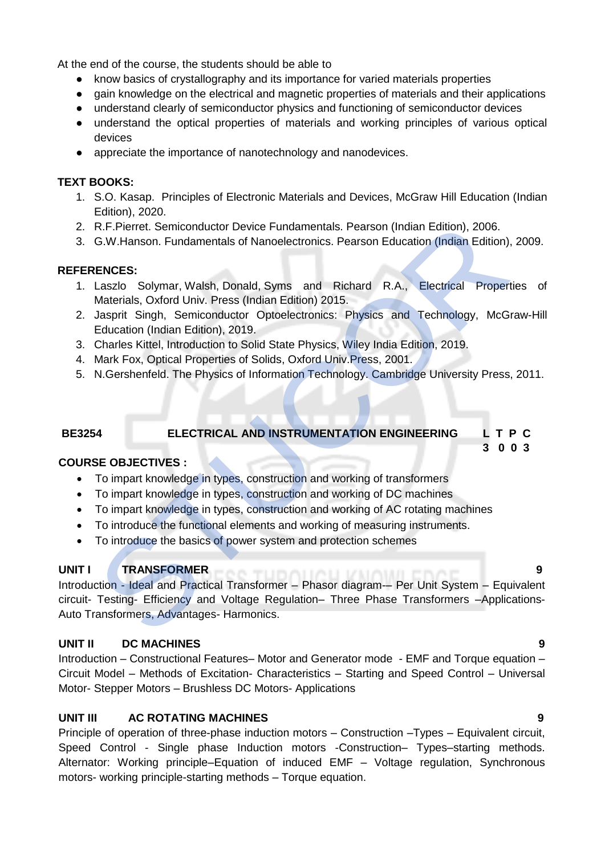At the end of the course, the students should be able to

- know basics of crystallography and its importance for varied materials properties
- gain knowledge on the electrical and magnetic properties of materials and their applications
- understand clearly of semiconductor physics and functioning of semiconductor devices
- understand the optical properties of materials and working principles of various optical devices
- appreciate the importance of nanotechnology and nanodevices.

## **TEXT BOOKS:**

- 1. S.O. Kasap. Principles of Electronic Materials and Devices, McGraw Hill Education (Indian Edition), 2020.
- 2. R.F.Pierret. Semiconductor Device Fundamentals. Pearson (Indian Edition), 2006.
- 3. G.W.Hanson. Fundamentals of Nanoelectronics. Pearson Education (Indian Edition), 2009.

### **REFERENCES:**

- 1. Laszlo Solymar, Walsh, Donald, Syms and Richard R.A., Electrical Properties of Materials, Oxford Univ. Press (Indian Edition) 2015.
- 2. Jasprit Singh, Semiconductor Optoelectronics: Physics and Technology, McGraw-Hill Education (Indian Edition), 2019.
- 3. Charles Kittel, Introduction to Solid State Physics, Wiley India Edition, 2019.
- 4. Mark Fox, Optical Properties of Solids, Oxford Univ.Press, 2001.
- 5. N.Gershenfeld. The Physics of Information Technology. Cambridge University Press, 2011.

# **BE3254 ELECTRICAL AND INSTRUMENTATION ENGINEERING L T P C**

# **COURSE OBJECTIVES :**

- To impart knowledge in types, construction and working of transformers
- To impart knowledge in types, construction and working of DC machines
- To impart knowledge in types, construction and working of AC rotating machines
- To introduce the functional elements and working of measuring instruments.
- To introduce the basics of power system and protection schemes

# **UNIT I TRANSFORMER**

Introduction - Ideal and Practical Transformer – Phasor diagram-– Per Unit System – Equivalent circuit- Testing- Efficiency and Voltage Regulation– Three Phase Transformers –Applications-Auto Transformers, Advantages- Harmonics. R.F. Pierret. Semiconductor Device Fundamentals. Pearson (Indian Edition), 2006.<br>
G.W.Hanson. Fundamentals of Nanoelectronics. Pearson Education (Indian Edition),<br>
LENCES:<br>
Laszlo Solymar, Walsh, Donald, Syms and Richard R

# **UNIT II DC MACHINES 9**

Introduction – Constructional Features– Motor and Generator mode - EMF and Torque equation – Circuit Model – Methods of Excitation- Characteristics – Starting and Speed Control – Universal Motor- Stepper Motors – Brushless DC Motors- Applications

# **UNIT III AC ROTATING MACHINES 9**

Principle of operation of three-phase induction motors – Construction –Types – Equivalent circuit, Speed Control - Single phase Induction motors -Construction– Types–starting methods. Alternator: Working principle–Equation of induced EMF – Voltage regulation, Synchronous motors- working principle-starting methods – Torque equation.

 **3 0 0 3**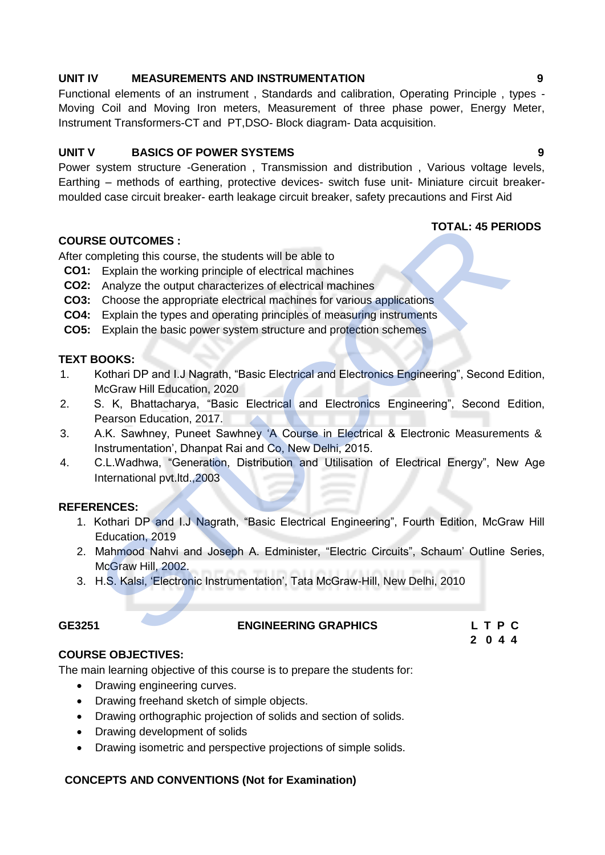#### **UNIT IV MEASUREMENTS AND INSTRUMENTATION 9**

Functional elements of an instrument , Standards and calibration, Operating Principle , types - Moving Coil and Moving Iron meters, Measurement of three phase power, Energy Meter, Instrument Transformers-CT and PT,DSO- Block diagram- Data acquisition.

#### **UNIT V BASICS OF POWER SYSTEMS 9**

Power system structure -Generation , Transmission and distribution , Various voltage levels, Earthing – methods of earthing, protective devices- switch fuse unit- Miniature circuit breakermoulded case circuit breaker- earth leakage circuit breaker, safety precautions and First Aid

#### **TOTAL: 45 PERIODS**

### **COURSE OUTCOMES :**

After completing this course, the students will be able to

- **CO1:** Explain the working principle of electrical machines
- **CO2:** Analyze the output characterizes of electrical machines
- **CO3:** Choose the appropriate electrical machines for various applications
- **CO4:** Explain the types and operating principles of measuring instruments
- **CO5:** Explain the basic power system structure and protection schemes

#### **TEXT BOOKS:**

- 1. Kothari DP and I.J Nagrath, "Basic Electrical and Electronics Engineering", Second Edition, McGraw Hill Education, 2020
- 2. S. K, Bhattacharya, "Basic Electrical and Electronics Engineering", Second Edition, Pearson Education, 2017. TOTAL: 45 PER<br>
STE OUTCOMES :<br>
Explain the working principle of electrical machines<br>
Analyze the output characterizes of electrical machines<br>
Choose the appropriate electrical machines for various applications<br>
Explain the
- 3. A.K. Sawhney, Puneet Sawhney 'A Course in Electrical & Electronic Measurements & Instrumentation', Dhanpat Rai and Co, New Delhi, 2015.
- 4. C.L.Wadhwa, "Generation, Distribution and Utilisation of Electrical Energy", New Age International pvt.ltd.,2003

#### **REFERENCES:**

- 1. Kothari DP and I.J Nagrath, "Basic Electrical Engineering", Fourth Edition, McGraw Hill Education, 2019
- 2. Mahmood Nahvi and Joseph A. Edminister, "Electric Circuits", Schaum' Outline Series, McGraw Hill, 2002.
- 3. H.S. Kalsi, 'Electronic Instrumentation', Tata McGraw-Hill, New Delhi, 2010

#### **GE3251 ENGINEERING GRAPHICS L T P C**

 **2 0 4 4**

#### **COURSE OBJECTIVES:**

The main learning objective of this course is to prepare the students for:

- Drawing engineering curves.
- Drawing freehand sketch of simple objects.
- Drawing orthographic projection of solids and section of solids.
- Drawing development of solids
- Drawing isometric and perspective projections of simple solids.

#### **CONCEPTS AND CONVENTIONS (Not for Examination)**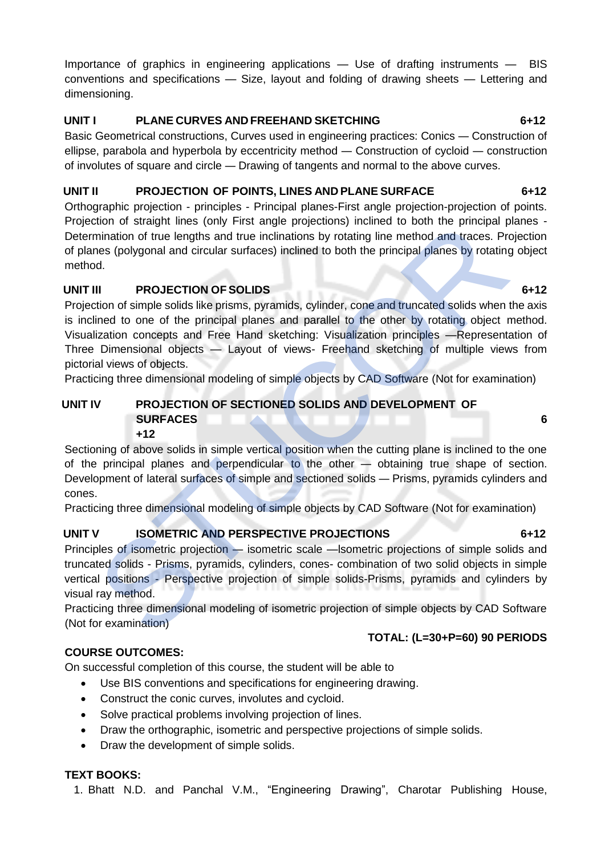Importance of graphics in engineering applications — Use of drafting instruments — BIS conventions and specifications — Size, layout and folding of drawing sheets — Lettering and dimensioning.

# **UNIT I PLANE CURVES AND FREEHAND SKETCHING 6+12**

Basic Geometrical constructions, Curves used in engineering practices: Conics — Construction of ellipse, parabola and hyperbola by eccentricity method — Construction of cycloid — construction of involutes of square and circle — Drawing of tangents and normal to the above curves.

# **UNIT II PROJECTION OF POINTS, LINES AND PLANE SURFACE 6+12**

Orthographic projection - principles - Principal planes-First angle projection-projection of points. Projection of straight lines (only First angle projections) inclined to both the principal planes - Determination of true lengths and true inclinations by rotating line method and traces. Projection of planes (polygonal and circular surfaces) inclined to both the principal planes by rotating object method.

# **UNIT III PROJECTION OF SOLIDS** 6+12

Projection of simple solids like prisms, pyramids, cylinder, cone and truncated solids when the axis is inclined to one of the principal planes and parallel to the other by rotating object method. Visualization concepts and Free Hand sketching: Visualization principles —Representation of Three Dimensional objects — Layout of views- Freehand sketching of multiple views from pictorial views of objects. Etion of straight limes (only First angle projections) inclined to both the principal<br>mination of true lengths and true inclinations by rotating line method and traces. Presentation<br>of the lengths and true inclinations by

Practicing three dimensional modeling of simple objects by CAD Software (Not for examination)

#### **UNIT IV PROJECTION OF SECTIONED SOLIDS AND DEVELOPMENT OF SURFACES** 6 **6 +12**

Sectioning of above solids in simple vertical position when the cutting plane is inclined to the one of the principal planes and perpendicular to the other — obtaining true shape of section. Development of lateral surfaces of simple and sectioned solids — Prisms, pyramids cylinders and cones.

Practicing three dimensional modeling of simple objects by CAD Software (Not for examination)

# **UNIT V ISOMETRIC AND PERSPECTIVE PROJECTIONS 6+12**

Principles of isometric projection — isometric scale —lsometric projections of simple solids and truncated solids - Prisms, pyramids, cylinders, cones- combination of two solid objects in simple vertical positions - Perspective projection of simple solids-Prisms, pyramids and cylinders by visual ray method.

Practicing three dimensional modeling of isometric projection of simple objects by CAD Software (Not for examination)

# **TOTAL: (L=30+P=60) 90 PERIODS**

On successful completion of this course, the student will be able to

- Use BIS conventions and specifications for engineering drawing.
- Construct the conic curves, involutes and cycloid.
- Solve practical problems involving projection of lines.
- Draw the orthographic, isometric and perspective projections of simple solids.
- Draw the development of simple solids.

# **TEXT BOOKS:**

**COURSE OUTCOMES:**

1. Bhatt N.D. and Panchal V.M., "Engineering Drawing", Charotar Publishing House,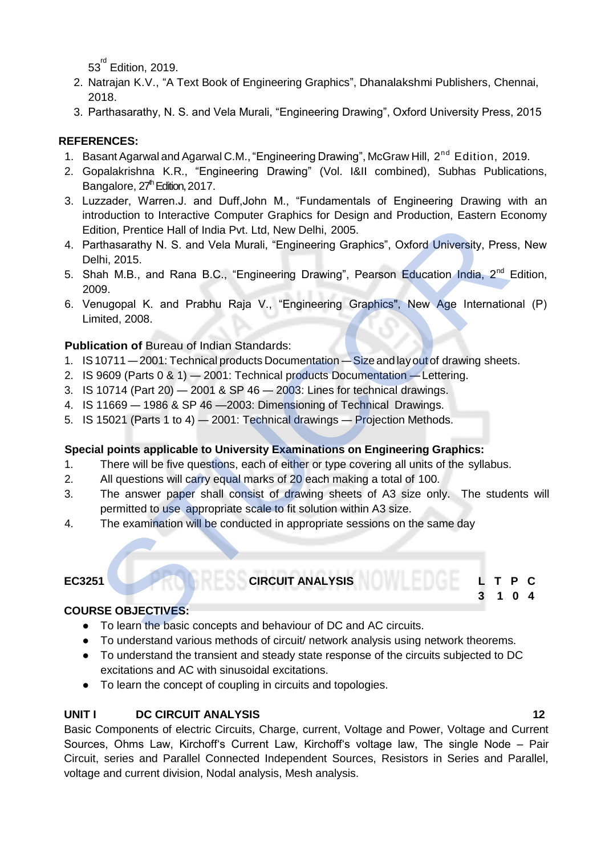$53^{^{\mathsf{rd}}}$  Edition, 2019.

- 2. Natrajan K.V., "A Text Book of Engineering Graphics", Dhanalakshmi Publishers, Chennai, 2018.
- 3. Parthasarathy, N. S. and Vela Murali, "Engineering Drawing", Oxford University Press, 2015

# **REFERENCES:**

- 1. Basant Agarwal and Agarwal C.M., "Engineering Drawing", McGraw Hill, 2<sup>nd</sup> Edition, 2019.
- 2. Gopalakrishna K.R., "Engineering Drawing" (Vol. I&II combined), Subhas Publications, Bangalore, 27<sup>th</sup> Edition, 2017.
- 3. Luzzader, Warren.J. and Duff,John M., "Fundamentals of Engineering Drawing with an introduction to Interactive Computer Graphics for Design and Production, Eastern Economy Edition, Prentice Hall of India Pvt. Ltd, New Delhi, 2005.
- 4. Parthasarathy N. S. and Vela Murali, "Engineering Graphics", Oxford University, Press, New Delhi, 2015.
- 5. Shah M.B., and Rana B.C., "Engineering Drawing", Pearson Education India, 2<sup>nd</sup> Edition, 2009. outer the Matter of Matter Computer Control Control Control Control Control Control Control Control Control Control Control Control Control Control Control Control Control Control Control Control Control Control Control Co
- 6. Venugopal K. and Prabhu Raja V., "Engineering Graphics", New Age International (P) Limited, 2008.

# **Publication of Bureau of Indian Standards:**

- 1. IS10711 2001: Technical products Documentation Size and lay out of drawing sheets.
- 2. IS 9609 (Parts 0 & 1) 2001: Technical products Documentation —Lettering.
- 3. IS 10714 (Part 20) 2001 & SP 46 2003: Lines for technical drawings.
- 4. IS 11669 1986 & SP 46 —2003: Dimensioning of Technical Drawings.
- 5. IS 15021 (Parts 1 to 4) 2001: Technical drawings Projection Methods.

# **Special points applicable to University Examinations on Engineering Graphics:**

- 1. There will be five questions, each of either or type covering all units of the syllabus.
- 2. All questions will carry equal marks of 20 each making a total of 100.
- 3. The answer paper shall consist of drawing sheets of A3 size only. The students will permitted to use appropriate scale to fit solution within A3 size.
- 4. The examination will be conducted in appropriate sessions on the same day

# **EC3251 CIRCUIT ANALYSIS L T P C**

**COURSE OBJECTIVES:**

- To learn the basic concepts and behaviour of DC and AC circuits.
- To understand various methods of circuit/ network analysis using network theorems.
- To understand the transient and steady state response of the circuits subjected to DC excitations and AC with sinusoidal excitations.
- To learn the concept of coupling in circuits and topologies.

# **UNIT I DC CIRCUIT ANALYSIS 12**

Basic Components of electric Circuits, Charge, current, Voltage and Power, Voltage and Current Sources, Ohms Law, Kirchoff's Current Law, Kirchoff's voltage law, The single Node – Pair Circuit, series and Parallel Connected Independent Sources, Resistors in Series and Parallel, voltage and current division, Nodal analysis, Mesh analysis.

**3 1 0 4**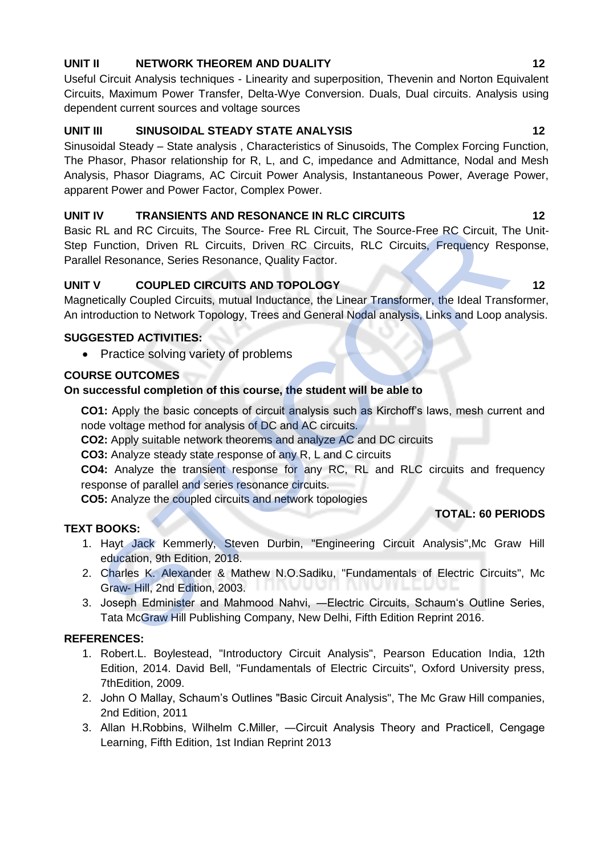# **UNIT II NETWORK THEOREM AND DUALITY 12**

Useful Circuit Analysis techniques - Linearity and superposition, Thevenin and Norton Equivalent Circuits, Maximum Power Transfer, Delta-Wye Conversion. Duals, Dual circuits. Analysis using dependent current sources and voltage sources

# UNIT III SINUSOIDAL STEADY STATE ANALYSIS 12

Sinusoidal Steady – State analysis , Characteristics of Sinusoids, The Complex Forcing Function, The Phasor, Phasor relationship for R, L, and C, impedance and Admittance, Nodal and Mesh Analysis, Phasor Diagrams, AC Circuit Power Analysis, Instantaneous Power, Average Power, apparent Power and Power Factor, Complex Power.

# **UNIT IV TRANSIENTS AND RESONANCE IN RLC CIRCUITS 12**

Basic RL and RC Circuits, The Source- Free RL Circuit, The Source-Free RC Circuit, The Unit-Step Function, Driven RL Circuits, Driven RC Circuits, RLC Circuits, Frequency Response, Parallel Resonance, Series Resonance, Quality Factor. TRI and RC Circuits, The Source-Free RL Circuit, The Source-Free RC Circuits, The Source-Free RC Circuits, Driven RC Circuits, RLC Circuits, Frequency Ree<br>
19 RL and RC Circuits, Driven RC Circuits, RLC Circuits, Frequency

# **UNIT V COUPLED CIRCUITS AND TOPOLOGY 12** 12

Magnetically Coupled Circuits, mutual Inductance, the Linear Transformer, the Ideal Transformer, An introduction to Network Topology, Trees and General Nodal analysis, Links and Loop analysis.

# **SUGGESTED ACTIVITIES:**

• Practice solving variety of problems

# **COURSE OUTCOMES**

# **On successful completion of this course, the student will be able to**

**CO1:** Apply the basic concepts of circuit analysis such as Kirchoff's laws, mesh current and node voltage method for analysis of DC and AC circuits.

**CO2:** Apply suitable network theorems and analyze AC and DC circuits

**CO3:** Analyze steady state response of any R, L and C circuits

**CO4:** Analyze the transient response for any RC, RL and RLC circuits and frequency response of parallel and series resonance circuits.

**CO5:** Analyze the coupled circuits and network topologies

# **TEXT BOOKS:**

- 1. Hayt Jack Kemmerly, Steven Durbin, "Engineering Circuit Analysis",Mc Graw Hill education, 9th Edition, 2018.
- 2. Charles K. Alexander & Mathew N.O.Sadiku, "Fundamentals of Electric Circuits", Mc Graw- Hill, 2nd Edition, 2003.
- 3. Joseph Edminister and Mahmood Nahvi, ―Electric Circuits, Schaum's Outline Series, Tata McGraw Hill Publishing Company, New Delhi, Fifth Edition Reprint 2016.

# **REFERENCES:**

- 1. Robert.L. Boylestead, "Introductory Circuit Analysis", Pearson Education India, 12th Edition, 2014. David Bell, "Fundamentals of Electric Circuits", Oxford University press, 7thEdition, 2009.
- 2. John O Mallay, Schaum's Outlines "Basic Circuit Analysis", The Mc Graw Hill companies, 2nd Edition, 2011
- 3. Allan H.Robbins, Wilhelm C.Miller, ―Circuit Analysis Theory and Practice‖, Cengage Learning, Fifth Edition, 1st Indian Reprint 2013

 **TOTAL: 60 PERIODS**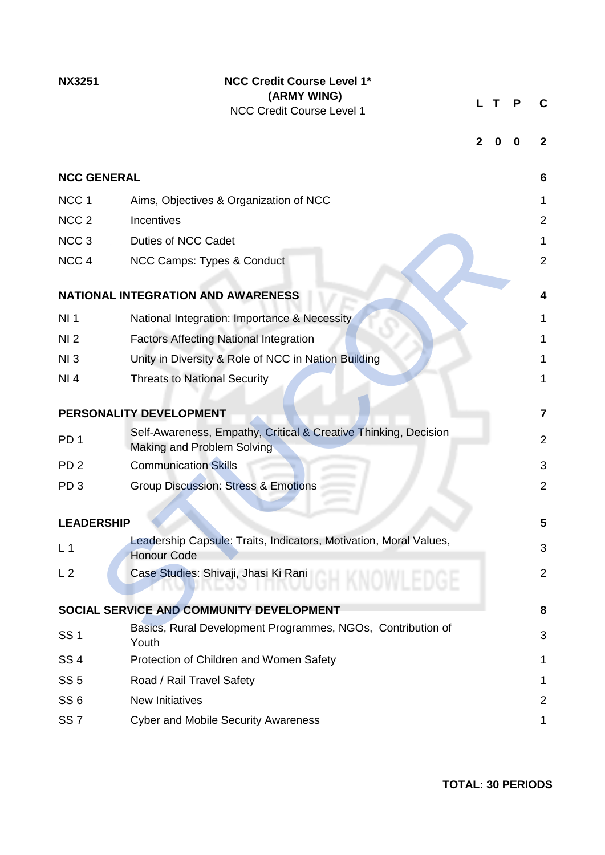| <b>NX3251</b>      | <b>NCC Credit Course Level 1*</b><br>(ARMY WING)<br><b>NCC Credit Course Level 1</b>          |              | Т | Р | С              |
|--------------------|-----------------------------------------------------------------------------------------------|--------------|---|---|----------------|
|                    |                                                                                               | $\mathbf{2}$ | 0 | 0 | 2              |
| <b>NCC GENERAL</b> |                                                                                               |              |   |   | 6              |
| NCC <sub>1</sub>   | Aims, Objectives & Organization of NCC                                                        |              |   |   | 1.             |
| NCC <sub>2</sub>   | Incentives                                                                                    |              |   |   | 2              |
| NCC <sub>3</sub>   | <b>Duties of NCC Cadet</b>                                                                    |              |   |   | $\mathbf{1}$   |
| NCC <sub>4</sub>   | NCC Camps: Types & Conduct                                                                    |              |   |   | $\overline{2}$ |
|                    |                                                                                               |              |   |   |                |
|                    | NATIONAL INTEGRATION AND AWARENESS                                                            |              |   |   | 4              |
| NI <sub>1</sub>    | National Integration: Importance & Necessity                                                  |              |   |   | 1              |
| NI <sub>2</sub>    | <b>Factors Affecting National Integration</b>                                                 |              |   |   | 1              |
| NI3                | Unity in Diversity & Role of NCC in Nation Building                                           |              |   |   | 1              |
| NI4                | <b>Threats to National Security</b>                                                           |              |   |   | 1              |
|                    | PERSONALITY DEVELOPMENT                                                                       |              |   |   | $\overline{7}$ |
| PD <sub>1</sub>    | Self-Awareness, Empathy, Critical & Creative Thinking, Decision<br>Making and Problem Solving |              |   |   | 2              |
| PD <sub>2</sub>    | <b>Communication Skills</b>                                                                   |              |   |   | 3              |
| PD <sub>3</sub>    | <b>Group Discussion: Stress &amp; Emotions</b>                                                |              |   |   | $\overline{2}$ |
|                    |                                                                                               |              |   |   |                |
| <b>LEADERSHIP</b>  |                                                                                               |              |   |   | 5              |
| L <sub>1</sub>     | Leadership Capsule: Traits, Indicators, Motivation, Moral Values,<br><b>Honour Code</b>       |              |   |   | 3              |
| L <sub>2</sub>     | Case Studies: Shivaji, Jhasi Ki Rani                                                          |              |   |   | 2              |
|                    | SOCIAL SERVICE AND COMMUNITY DEVELOPMENT                                                      |              |   |   | 8              |
| <b>SS1</b>         | Basics, Rural Development Programmes, NGOs, Contribution of<br>Youth                          |              |   |   | 3              |
| SS <sub>4</sub>    | Protection of Children and Women Safety                                                       |              |   |   | 1              |
| SS <sub>5</sub>    | Road / Rail Travel Safety                                                                     |              |   |   | 1              |
| SS <sub>6</sub>    | <b>New Initiatives</b>                                                                        |              |   |   | $\overline{2}$ |
| SS <sub>7</sub>    | <b>Cyber and Mobile Security Awareness</b>                                                    |              |   |   | 1              |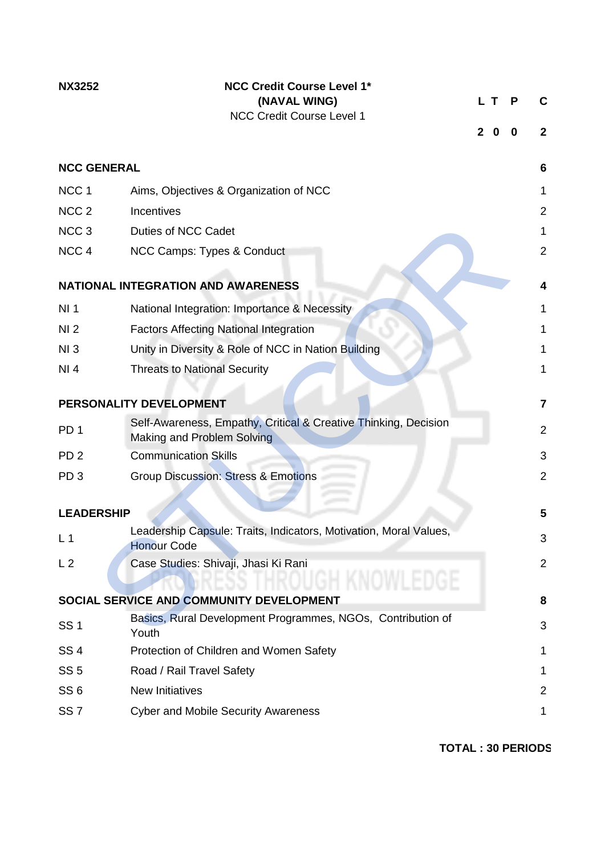| <b>NX3252</b>      | <b>NCC Credit Course Level 1*</b><br>(NAVAL WING)<br><b>NCC Credit Course Level 1</b>         | LТ<br>$\mathbf{2}$ | 0 | Р<br>0 | C<br>$\mathbf{2}$ |
|--------------------|-----------------------------------------------------------------------------------------------|--------------------|---|--------|-------------------|
| <b>NCC GENERAL</b> |                                                                                               |                    |   |        | 6                 |
| NCC <sub>1</sub>   | Aims, Objectives & Organization of NCC                                                        |                    |   |        | 1                 |
| NCC <sub>2</sub>   | Incentives                                                                                    |                    |   |        | 2                 |
| NCC <sub>3</sub>   | Duties of NCC Cadet                                                                           |                    |   |        | $\mathbf{1}$      |
| NCC <sub>4</sub>   | NCC Camps: Types & Conduct                                                                    |                    |   |        | $\overline{2}$    |
|                    | <b>NATIONAL INTEGRATION AND AWARENESS</b>                                                     |                    |   |        | 4                 |
| NI <sub>1</sub>    | National Integration: Importance & Necessity                                                  |                    |   |        | 1                 |
| NI <sub>2</sub>    | <b>Factors Affecting National Integration</b>                                                 |                    |   |        | 1                 |
| NI3                | Unity in Diversity & Role of NCC in Nation Building                                           |                    |   |        | 1                 |
| NI 4               | <b>Threats to National Security</b>                                                           |                    |   |        | 1                 |
|                    | PERSONALITY DEVELOPMENT                                                                       |                    |   |        | $\overline{7}$    |
| PD <sub>1</sub>    | Self-Awareness, Empathy, Critical & Creative Thinking, Decision<br>Making and Problem Solving |                    |   |        | 2                 |
| PD <sub>2</sub>    | <b>Communication Skills</b>                                                                   |                    |   |        | 3                 |
| PD <sub>3</sub>    | <b>Group Discussion: Stress &amp; Emotions</b>                                                |                    |   |        | $\overline{2}$    |
| <b>LEADERSHIP</b>  |                                                                                               |                    |   |        | 5                 |
| L <sub>1</sub>     | Leadership Capsule: Traits, Indicators, Motivation, Moral Values,<br><b>Honour Code</b>       |                    |   |        | 3                 |
| L <sub>2</sub>     | Case Studies: Shivaji, Jhasi Ki Rani                                                          |                    |   |        | $\overline{2}$    |
|                    | SOCIAL SERVICE AND COMMUNITY DEVELOPMENT                                                      |                    |   |        | 8                 |
| <b>SS1</b>         | Basics, Rural Development Programmes, NGOs, Contribution of<br>Youth                          |                    |   |        | 3                 |
| SS <sub>4</sub>    | Protection of Children and Women Safety                                                       |                    |   |        | 1                 |
| SS <sub>5</sub>    | Road / Rail Travel Safety                                                                     |                    |   |        | 1                 |
| SS <sub>6</sub>    | <b>New Initiatives</b>                                                                        |                    |   |        | 2                 |
| SS <sub>7</sub>    | <b>Cyber and Mobile Security Awareness</b>                                                    |                    |   |        | 1                 |

**TOTAL : 30 PERIODS**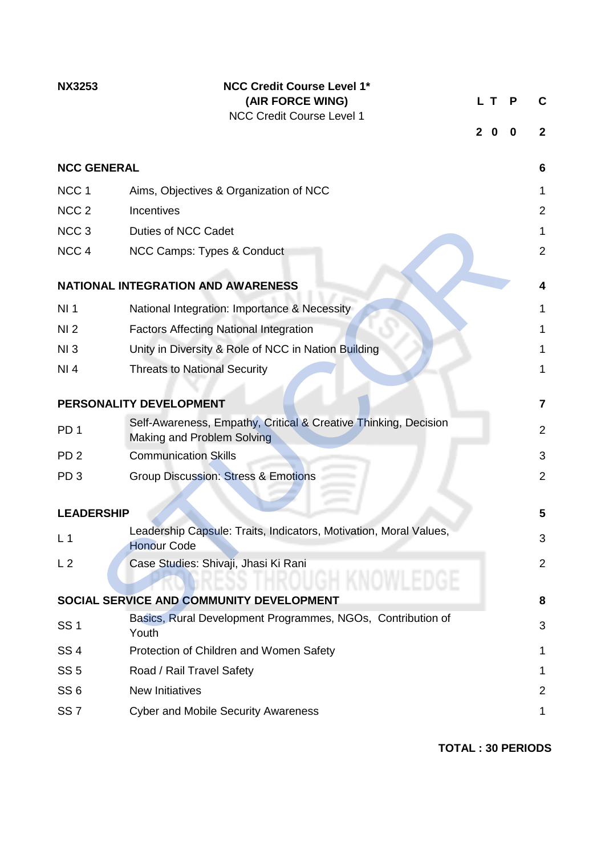| <b>NX3253</b>      | <b>NCC Credit Course Level 1*</b><br>(AIR FORCE WING)<br><b>NCC Credit Course Level 1</b>     | $\mathbf{2}$ | L T.<br>0 | Р<br>0 | C<br>$\mathbf{2}$ |
|--------------------|-----------------------------------------------------------------------------------------------|--------------|-----------|--------|-------------------|
| <b>NCC GENERAL</b> |                                                                                               |              |           |        | 6                 |
| NCC <sub>1</sub>   | Aims, Objectives & Organization of NCC                                                        |              |           |        | 1                 |
| NCC <sub>2</sub>   | Incentives                                                                                    |              |           |        | 2                 |
| NCC <sub>3</sub>   | Duties of NCC Cadet                                                                           |              |           |        | $\mathbf{1}$      |
| NCC <sub>4</sub>   | NCC Camps: Types & Conduct                                                                    |              |           |        | $\overline{2}$    |
|                    | <b>NATIONAL INTEGRATION AND AWARENESS</b>                                                     |              |           |        |                   |
| NI <sub>1</sub>    | National Integration: Importance & Necessity                                                  |              |           |        | 1                 |
| NI <sub>2</sub>    | <b>Factors Affecting National Integration</b>                                                 |              |           |        | 1                 |
| NI3                | Unity in Diversity & Role of NCC in Nation Building                                           |              |           |        | 1                 |
| NI 4               | <b>Threats to National Security</b>                                                           |              |           |        | 1                 |
|                    | PERSONALITY DEVELOPMENT                                                                       |              |           |        | $\overline{7}$    |
| PD <sub>1</sub>    | Self-Awareness, Empathy, Critical & Creative Thinking, Decision<br>Making and Problem Solving |              |           |        | 2                 |
| PD <sub>2</sub>    | <b>Communication Skills</b>                                                                   |              |           |        | 3                 |
| PD <sub>3</sub>    | <b>Group Discussion: Stress &amp; Emotions</b>                                                |              |           |        | $\overline{2}$    |
| <b>LEADERSHIP</b>  |                                                                                               |              |           |        | 5                 |
| L <sub>1</sub>     | Leadership Capsule: Traits, Indicators, Motivation, Moral Values,<br><b>Honour Code</b>       |              |           |        | 3                 |
| L <sub>2</sub>     | Case Studies: Shivaji, Jhasi Ki Rani                                                          |              |           |        | $\overline{2}$    |
|                    | SOCIAL SERVICE AND COMMUNITY DEVELOPMENT                                                      |              |           |        | 8                 |
| <b>SS1</b>         | Basics, Rural Development Programmes, NGOs, Contribution of<br>Youth                          |              |           |        | 3                 |
| <b>SS4</b>         | Protection of Children and Women Safety                                                       |              |           |        | 1                 |
| SS <sub>5</sub>    | Road / Rail Travel Safety                                                                     |              |           |        | 1                 |
| SS <sub>6</sub>    | <b>New Initiatives</b>                                                                        |              |           |        | 2                 |
| SS <sub>7</sub>    | <b>Cyber and Mobile Security Awareness</b>                                                    |              |           |        | 1                 |

**TOTAL : 30 PERIODS**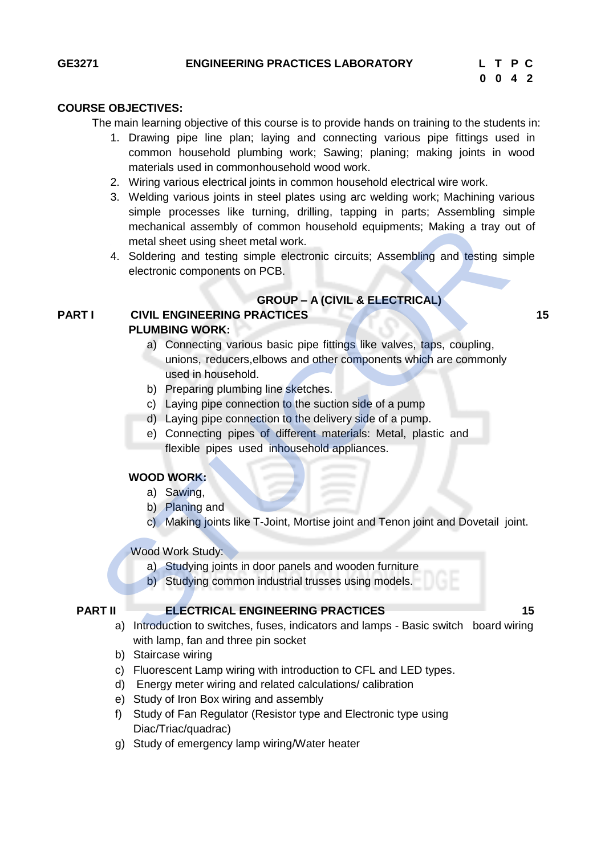# **COURSE OBJECTIVES:**

The main learning objective of this course is to provide hands on training to the students in:

- 1. Drawing pipe line plan; laying and connecting various pipe fittings used in common household plumbing work; Sawing; planing; making joints in wood materials used in commonhousehold wood work.
- 2. Wiring various electrical joints in common household electrical wire work.
- 3. Welding various joints in steel plates using arc welding work; Machining various simple processes like turning, drilling, tapping in parts; Assembling simple mechanical assembly of common household equipments; Making a tray out of metal sheet using sheet metal work.
- 4. Soldering and testing simple electronic circuits; Assembling and testing simple electronic components on PCB.

#### **GROUP – A (CIVIL & ELECTRICAL)**

#### **PART I CIVIL ENGINEERING PRACTICES 15 PLUMBING WORK:**

- a) Connecting various basic pipe fittings like valves, taps, coupling, unions, reducers,elbows and other components which are commonly used in household. mechanical assembly of common household equipments; Making a tray of metal sheet using sheet metal work.<br>
4. Soldering and testing simple electronic circuits; Assembling and testing si<br>
electronic components on PCB.<br> **GROU** 
	- b) Preparing plumbing line sketches.
	- c) Laying pipe connection to the suction side of a pump
	- d) Laying pipe connection to the delivery side of a pump.
	- e) Connecting pipes of different materials: Metal, plastic and flexible pipes used inhousehold appliances.

#### **WOOD WORK:**

- a) Sawing,
- b) Planing and
- c) Making joints like T-Joint, Mortise joint and Tenon joint and Dovetail joint.
- Wood Work Study:
	- a) Studying joints in door panels and wooden furniture
	- b) Studying common industrial trusses using models.

#### **PART II ELECTRICAL ENGINEERING PRACTICES** 15

- a) Introduction to switches, fuses, indicators and lamps Basic switch board wiring with lamp, fan and three pin socket
- b) Staircase wiring
- c) Fluorescent Lamp wiring with introduction to CFL and LED types.
- d) Energy meter wiring and related calculations/ calibration
- e) Study of Iron Box wiring and assembly
- f) Study of Fan Regulator (Resistor type and Electronic type using Diac/Triac/quadrac)
- g) Study of emergency lamp wiring/Water heater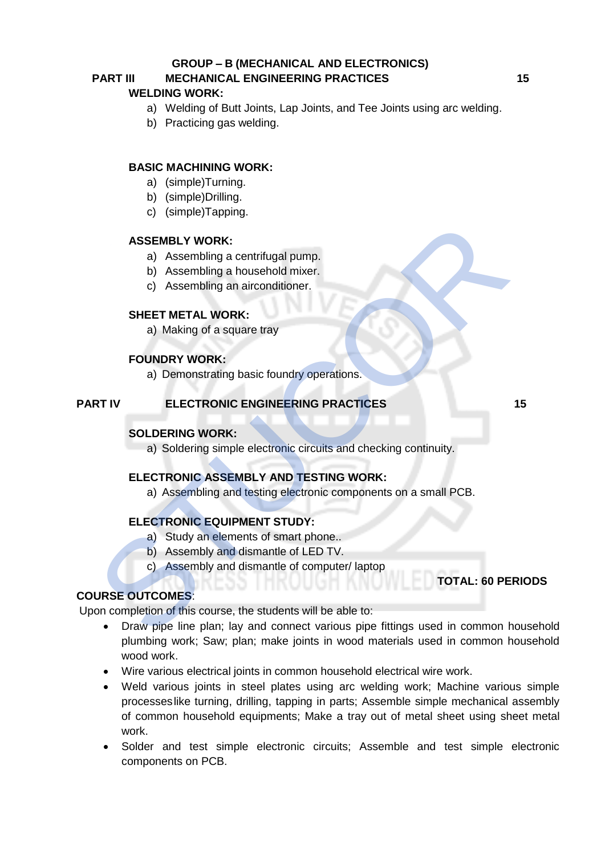#### **GROUP – B (MECHANICAL AND ELECTRONICS)**

# **PART III MECHANICAL ENGINEERING PRACTICES 15**

#### **WELDING WORK:**

- a) Welding of Butt Joints, Lap Joints, and Tee Joints using arc welding.
- b) Practicing gas welding.

### **BASIC MACHINING WORK:**

- a) (simple)Turning.
- b) (simple)Drilling.
- c) (simple)Tapping.

#### **ASSEMBLY WORK:**

- a) Assembling a centrifugal pump.
- b) Assembling a household mixer.
- c) Assembling an airconditioner.

#### **SHEET METAL WORK:**

a) Making of a square tray

#### **FOUNDRY WORK:**

a) Demonstrating basic foundry operations.

#### **PART IV ELECTRONIC ENGINEERING PRACTICES 15**

#### **SOLDERING WORK:**

a) Soldering simple electronic circuits and checking continuity.

#### **ELECTRONIC ASSEMBLY AND TESTING WORK:**

a) Assembling and testing electronic components on a small PCB.

### **ELECTRONIC EQUIPMENT STUDY:**

- a) Study an elements of smart phone..
- b) Assembly and dismantle of LED TV.
- c) Assembly and dismantle of computer/ laptop

# **TOTAL: 60 PERIODS**

# **COURSE OUTCOMES**:

Upon completion of this course, the students will be able to:

- Draw pipe line plan; lay and connect various pipe fittings used in common household plumbing work; Saw; plan; make joints in wood materials used in common household wood work. ASSEMELY WORK:<br>
a) Assembling a centrifugal pump.<br>
b) Assembling a household mixer.<br>
c) Assembling an airconditioner.<br>
SHEET METAL WORK:<br>
a) Making of a square tray<br>
FOUNDRY WORK:<br>
a) Demonstrating basic foundry operations
	- Wire various electrical joints in common household electrical wire work.
	- Weld various joints in steel plates using arc welding work; Machine various simple processeslike turning, drilling, tapping in parts; Assemble simple mechanical assembly of common household equipments; Make a tray out of metal sheet using sheet metal work.
	- Solder and test simple electronic circuits; Assemble and test simple electronic components on PCB.